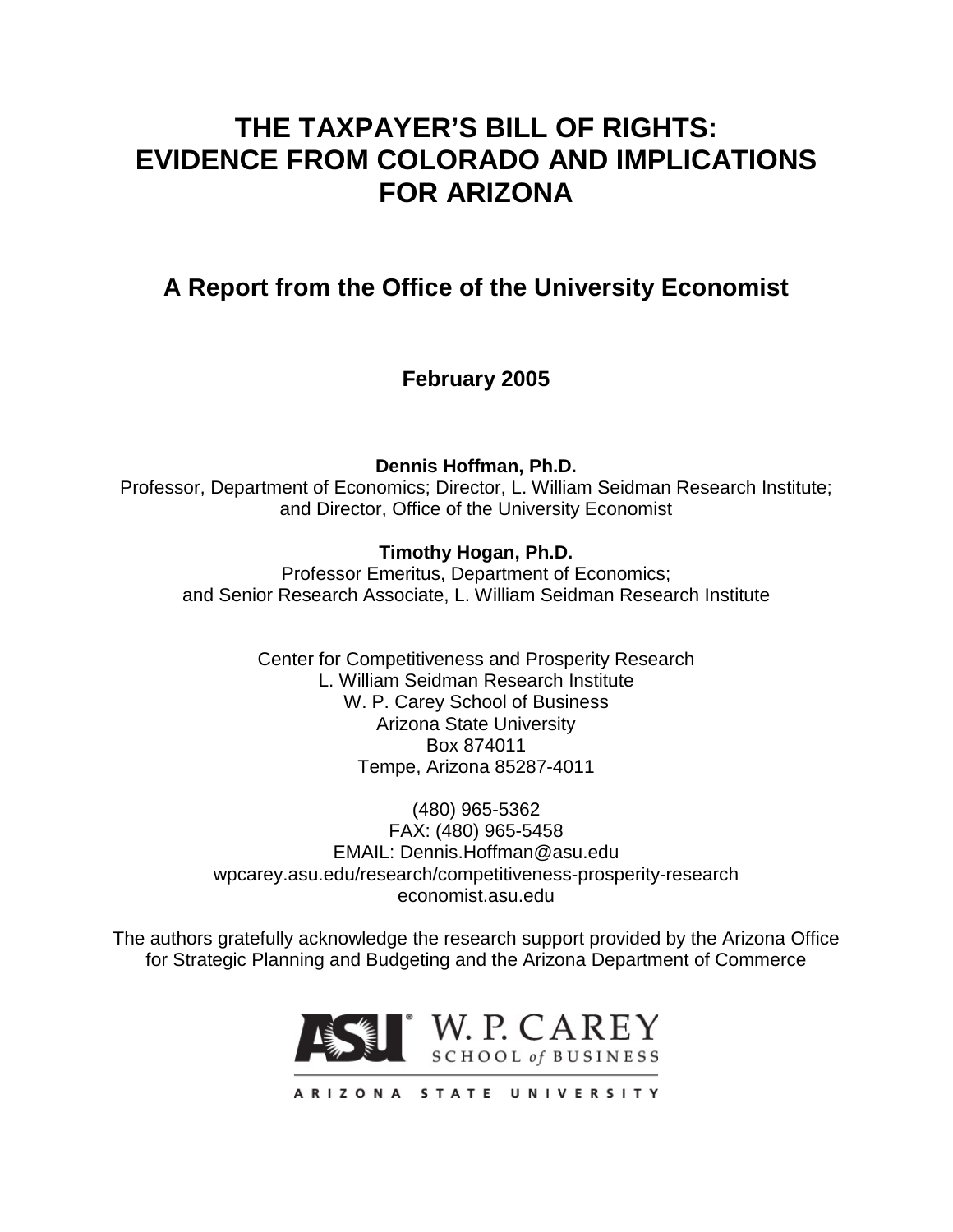# **THE TAXPAYER'S BILL OF RIGHTS: EVIDENCE FROM COLORADO AND IMPLICATIONS FOR ARIZONA**

**A Report from the Office of the University Economist**

**February 2005**

**Dennis Hoffman, Ph.D.**

Professor, Department of Economics; Director, L. William Seidman Research Institute; and Director, Office of the University Economist

# **Timothy Hogan, Ph.D.**

Professor Emeritus, Department of Economics; and Senior Research Associate, L. William Seidman Research Institute

> Center for Competitiveness and Prosperity Research L. William Seidman Research Institute W. P. Carey School of Business Arizona State University Box 874011 Tempe, Arizona 85287-4011

(480) 965-5362 FAX: (480) 965-5458 EMAIL: Dennis.Hoffman@asu.edu wpcarey.asu.edu/research/competitiveness-prosperity-research economist.asu.edu

The authors gratefully acknowledge the research support provided by the Arizona Office for Strategic Planning and Budgeting and the Arizona Department of Commerce



ARIZONA STATE UNIVERSITY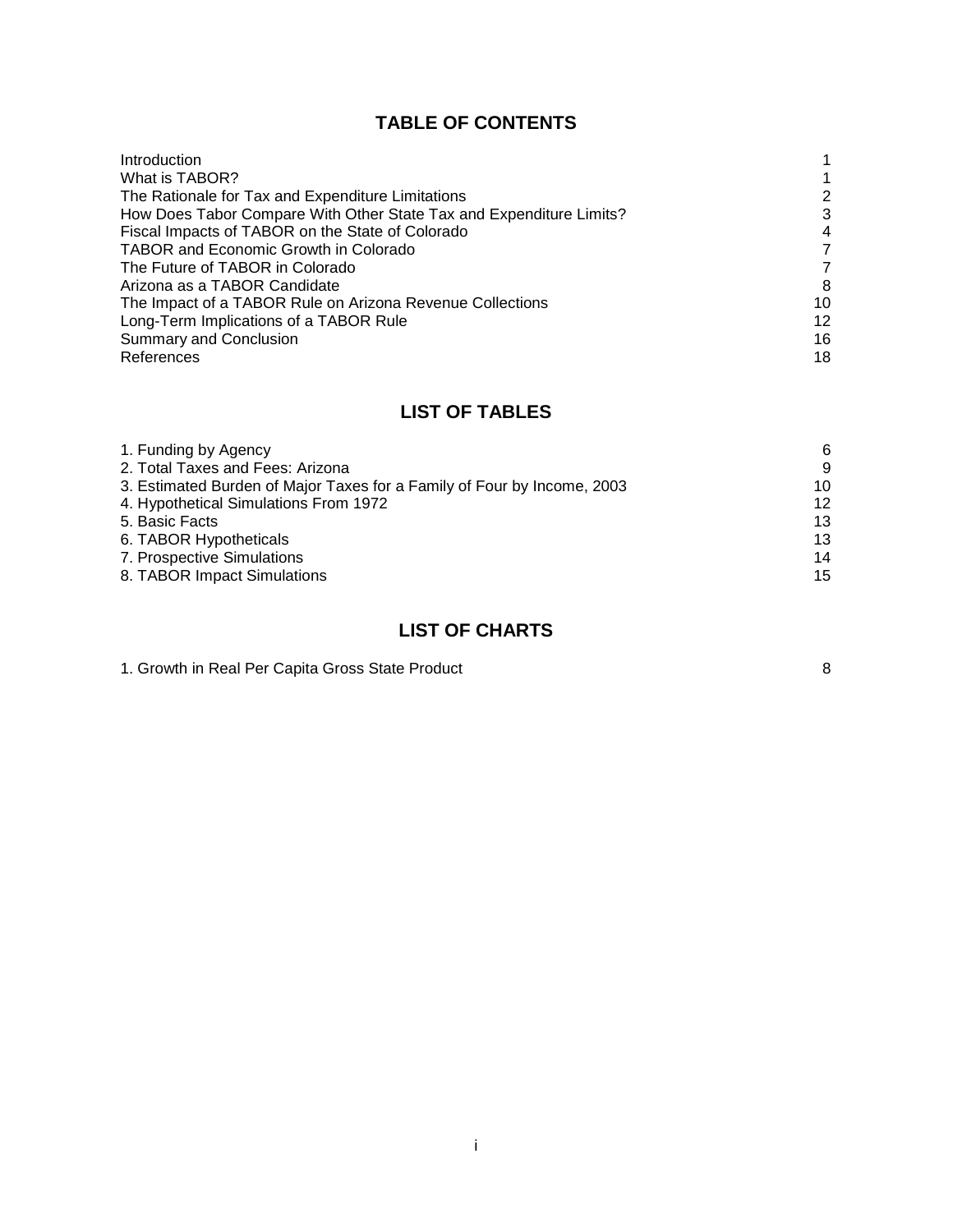# **TABLE OF CONTENTS**

| Introduction                                                        |    |
|---------------------------------------------------------------------|----|
| What is TABOR?                                                      |    |
| The Rationale for Tax and Expenditure Limitations                   | 2  |
| How Does Tabor Compare With Other State Tax and Expenditure Limits? | 3  |
| Fiscal Impacts of TABOR on the State of Colorado                    | 4  |
| <b>TABOR and Economic Growth in Colorado</b>                        | 7  |
| The Future of TABOR in Colorado                                     | 7  |
| Arizona as a TABOR Candidate                                        | 8  |
| The Impact of a TABOR Rule on Arizona Revenue Collections           | 10 |
| Long-Term Implications of a TABOR Rule                              | 12 |
| <b>Summary and Conclusion</b>                                       | 16 |
| References                                                          | 18 |

# **LIST OF TABLES**

| 1. Funding by Agency                                                    | 6  |
|-------------------------------------------------------------------------|----|
| 2. Total Taxes and Fees: Arizona                                        | 9  |
| 3. Estimated Burden of Major Taxes for a Family of Four by Income, 2003 | 10 |
| 4. Hypothetical Simulations From 1972                                   | 12 |
| 5. Basic Facts                                                          | 13 |
| 6. TABOR Hypotheticals                                                  | 13 |
| 7. Prospective Simulations                                              | 14 |
| 8. TABOR Impact Simulations                                             | 15 |

# **LIST OF CHARTS**

| 1. Growth in Real Per Capita Gross State Product |  |
|--------------------------------------------------|--|
|--------------------------------------------------|--|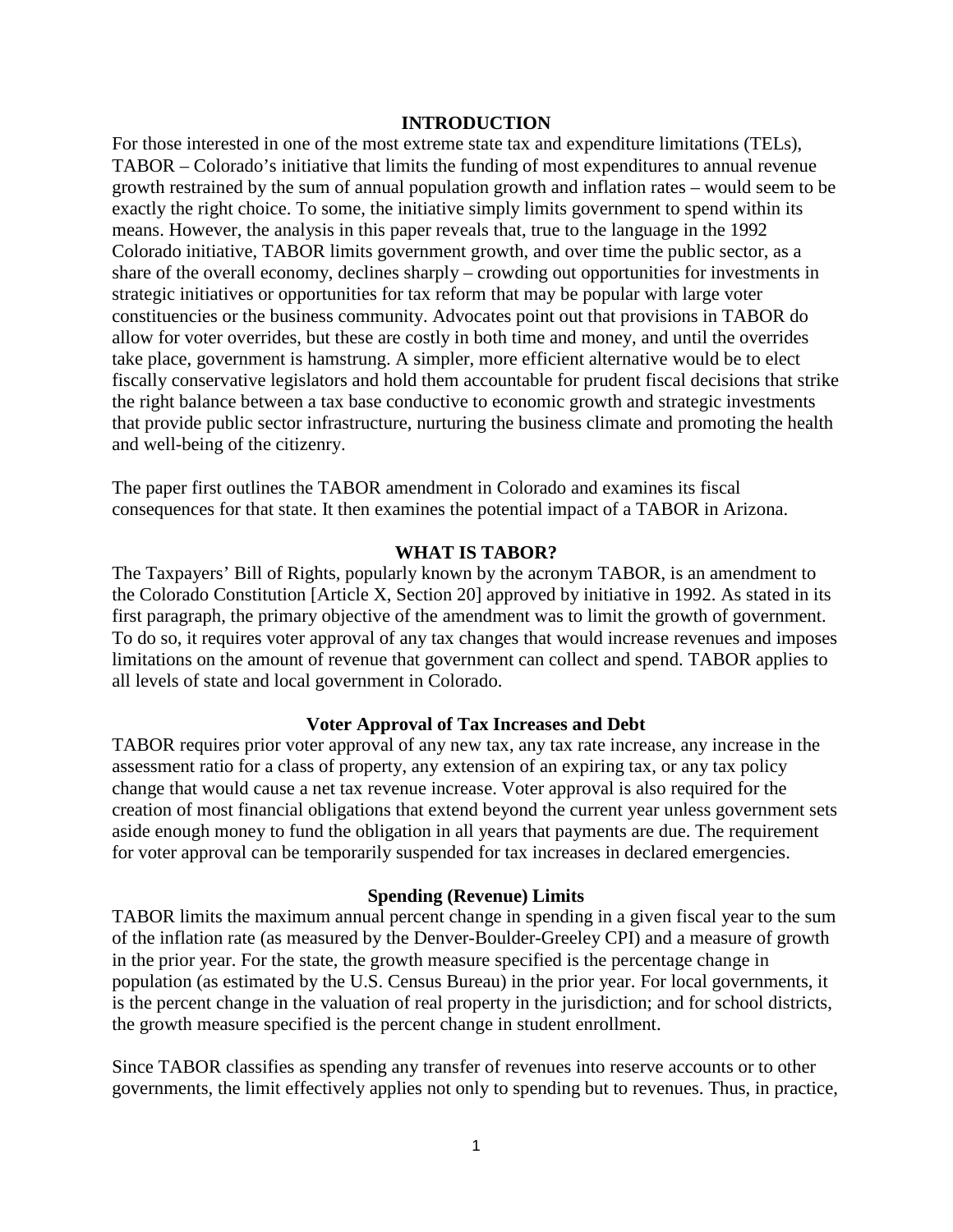#### **INTRODUCTION**

For those interested in one of the most extreme state tax and expenditure limitations (TELs), TABOR – Colorado's initiative that limits the funding of most expenditures to annual revenue growth restrained by the sum of annual population growth and inflation rates – would seem to be exactly the right choice. To some, the initiative simply limits government to spend within its means. However, the analysis in this paper reveals that, true to the language in the 1992 Colorado initiative, TABOR limits government growth, and over time the public sector, as a share of the overall economy, declines sharply – crowding out opportunities for investments in strategic initiatives or opportunities for tax reform that may be popular with large voter constituencies or the business community. Advocates point out that provisions in TABOR do allow for voter overrides, but these are costly in both time and money, and until the overrides take place, government is hamstrung. A simpler, more efficient alternative would be to elect fiscally conservative legislators and hold them accountable for prudent fiscal decisions that strike the right balance between a tax base conductive to economic growth and strategic investments that provide public sector infrastructure, nurturing the business climate and promoting the health and well-being of the citizenry.

The paper first outlines the TABOR amendment in Colorado and examines its fiscal consequences for that state. It then examines the potential impact of a TABOR in Arizona.

#### **WHAT IS TABOR?**

The Taxpayers' Bill of Rights, popularly known by the acronym TABOR, is an amendment to the Colorado Constitution [Article X, Section 20] approved by initiative in 1992. As stated in its first paragraph, the primary objective of the amendment was to limit the growth of government. To do so, it requires voter approval of any tax changes that would increase revenues and imposes limitations on the amount of revenue that government can collect and spend. TABOR applies to all levels of state and local government in Colorado.

#### **Voter Approval of Tax Increases and Debt**

TABOR requires prior voter approval of any new tax, any tax rate increase, any increase in the assessment ratio for a class of property, any extension of an expiring tax, or any tax policy change that would cause a net tax revenue increase. Voter approval is also required for the creation of most financial obligations that extend beyond the current year unless government sets aside enough money to fund the obligation in all years that payments are due. The requirement for voter approval can be temporarily suspended for tax increases in declared emergencies.

#### **Spending (Revenue) Limits**

TABOR limits the maximum annual percent change in spending in a given fiscal year to the sum of the inflation rate (as measured by the Denver-Boulder-Greeley CPI) and a measure of growth in the prior year. For the state, the growth measure specified is the percentage change in population (as estimated by the U.S. Census Bureau) in the prior year. For local governments, it is the percent change in the valuation of real property in the jurisdiction; and for school districts, the growth measure specified is the percent change in student enrollment.

Since TABOR classifies as spending any transfer of revenues into reserve accounts or to other governments, the limit effectively applies not only to spending but to revenues. Thus, in practice,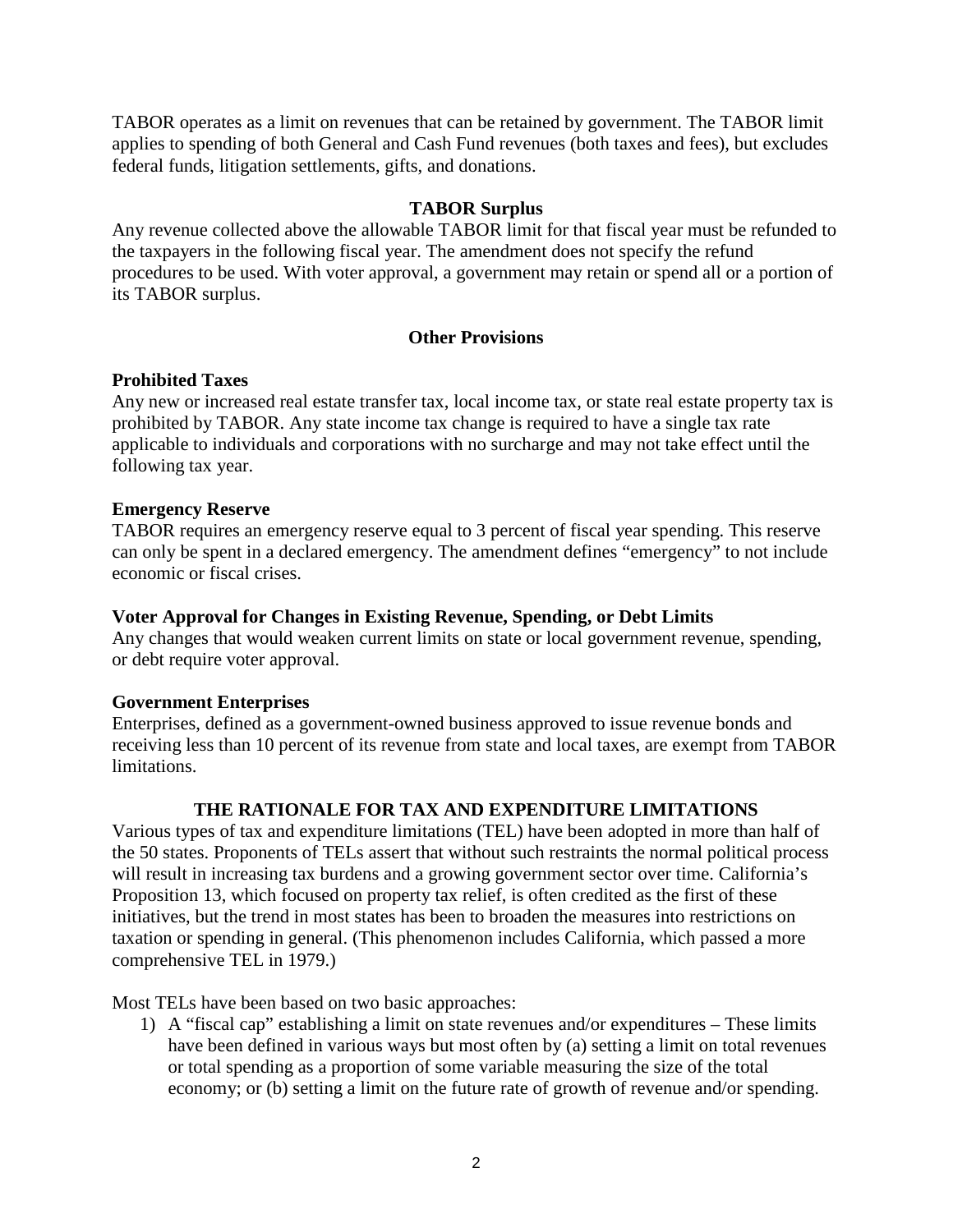TABOR operates as a limit on revenues that can be retained by government. The TABOR limit applies to spending of both General and Cash Fund revenues (both taxes and fees), but excludes federal funds, litigation settlements, gifts, and donations.

#### **TABOR Surplus**

Any revenue collected above the allowable TABOR limit for that fiscal year must be refunded to the taxpayers in the following fiscal year. The amendment does not specify the refund procedures to be used. With voter approval, a government may retain or spend all or a portion of its TABOR surplus.

### **Other Provisions**

#### **Prohibited Taxes**

Any new or increased real estate transfer tax, local income tax, or state real estate property tax is prohibited by TABOR. Any state income tax change is required to have a single tax rate applicable to individuals and corporations with no surcharge and may not take effect until the following tax year.

#### **Emergency Reserve**

TABOR requires an emergency reserve equal to 3 percent of fiscal year spending. This reserve can only be spent in a declared emergency. The amendment defines "emergency" to not include economic or fiscal crises.

#### **Voter Approval for Changes in Existing Revenue, Spending, or Debt Limits**

Any changes that would weaken current limits on state or local government revenue, spending, or debt require voter approval.

#### **Government Enterprises**

Enterprises, defined as a government-owned business approved to issue revenue bonds and receiving less than 10 percent of its revenue from state and local taxes, are exempt from TABOR limitations.

#### **THE RATIONALE FOR TAX AND EXPENDITURE LIMITATIONS**

Various types of tax and expenditure limitations (TEL) have been adopted in more than half of the 50 states. Proponents of TELs assert that without such restraints the normal political process will result in increasing tax burdens and a growing government sector over time. California's Proposition 13, which focused on property tax relief, is often credited as the first of these initiatives, but the trend in most states has been to broaden the measures into restrictions on taxation or spending in general. (This phenomenon includes California, which passed a more comprehensive TEL in 1979.)

Most TELs have been based on two basic approaches:

1) A "fiscal cap" establishing a limit on state revenues and/or expenditures – These limits have been defined in various ways but most often by (a) setting a limit on total revenues or total spending as a proportion of some variable measuring the size of the total economy; or (b) setting a limit on the future rate of growth of revenue and/or spending.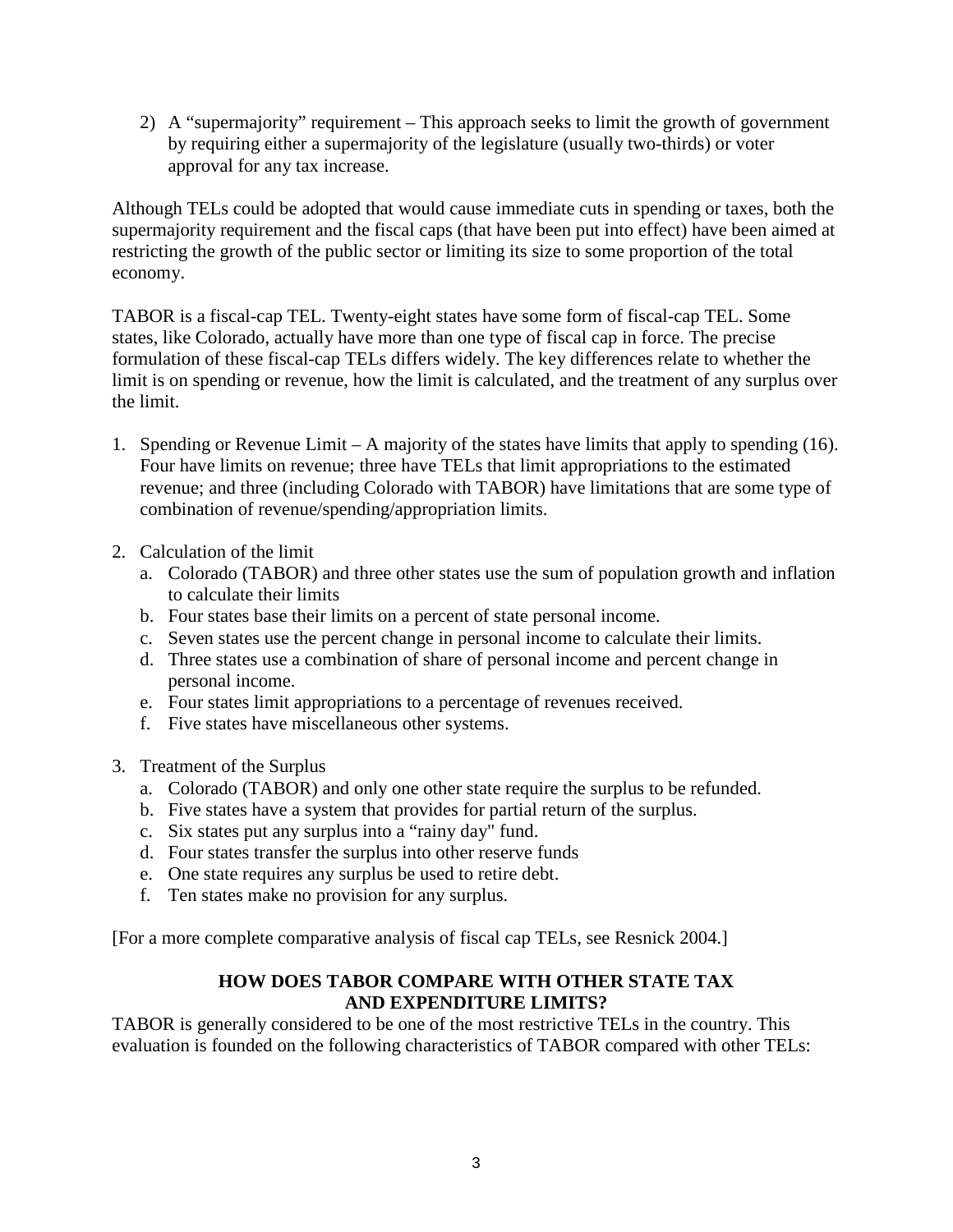2) A "supermajority" requirement – This approach seeks to limit the growth of government by requiring either a supermajority of the legislature (usually two-thirds) or voter approval for any tax increase.

Although TELs could be adopted that would cause immediate cuts in spending or taxes, both the supermajority requirement and the fiscal caps (that have been put into effect) have been aimed at restricting the growth of the public sector or limiting its size to some proportion of the total economy.

TABOR is a fiscal-cap TEL. Twenty-eight states have some form of fiscal-cap TEL. Some states, like Colorado, actually have more than one type of fiscal cap in force. The precise formulation of these fiscal-cap TELs differs widely. The key differences relate to whether the limit is on spending or revenue, how the limit is calculated, and the treatment of any surplus over the limit.

- 1. Spending or Revenue Limit A majority of the states have limits that apply to spending (16). Four have limits on revenue; three have TELs that limit appropriations to the estimated revenue; and three (including Colorado with TABOR) have limitations that are some type of combination of revenue/spending/appropriation limits.
- 2. Calculation of the limit
	- a. Colorado (TABOR) and three other states use the sum of population growth and inflation to calculate their limits
	- b. Four states base their limits on a percent of state personal income.
	- c. Seven states use the percent change in personal income to calculate their limits.
	- d. Three states use a combination of share of personal income and percent change in personal income.
	- e. Four states limit appropriations to a percentage of revenues received.
	- f. Five states have miscellaneous other systems.
- 3. Treatment of the Surplus
	- a. Colorado (TABOR) and only one other state require the surplus to be refunded.
	- b. Five states have a system that provides for partial return of the surplus.
	- c. Six states put any surplus into a "rainy day" fund.
	- d. Four states transfer the surplus into other reserve funds
	- e. One state requires any surplus be used to retire debt.
	- f. Ten states make no provision for any surplus.

[For a more complete comparative analysis of fiscal cap TELs, see Resnick 2004.]

# **HOW DOES TABOR COMPARE WITH OTHER STATE TAX AND EXPENDITURE LIMITS?**

TABOR is generally considered to be one of the most restrictive TELs in the country. This evaluation is founded on the following characteristics of TABOR compared with other TELs: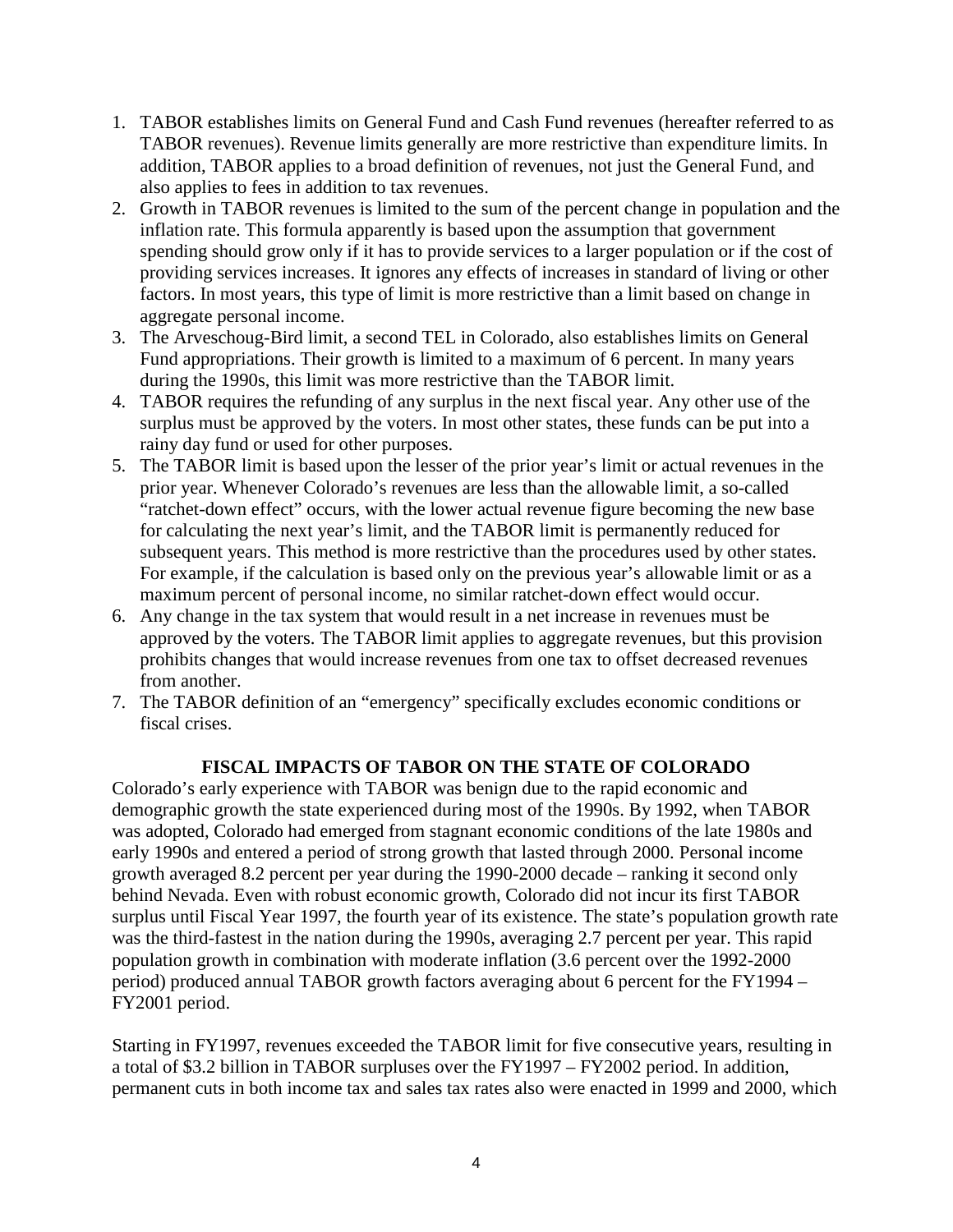- 1. TABOR establishes limits on General Fund and Cash Fund revenues (hereafter referred to as TABOR revenues). Revenue limits generally are more restrictive than expenditure limits. In addition, TABOR applies to a broad definition of revenues, not just the General Fund, and also applies to fees in addition to tax revenues.
- 2. Growth in TABOR revenues is limited to the sum of the percent change in population and the inflation rate. This formula apparently is based upon the assumption that government spending should grow only if it has to provide services to a larger population or if the cost of providing services increases. It ignores any effects of increases in standard of living or other factors. In most years, this type of limit is more restrictive than a limit based on change in aggregate personal income.
- 3. The Arveschoug-Bird limit, a second TEL in Colorado, also establishes limits on General Fund appropriations. Their growth is limited to a maximum of 6 percent. In many years during the 1990s, this limit was more restrictive than the TABOR limit.
- 4. TABOR requires the refunding of any surplus in the next fiscal year. Any other use of the surplus must be approved by the voters. In most other states, these funds can be put into a rainy day fund or used for other purposes.
- 5. The TABOR limit is based upon the lesser of the prior year's limit or actual revenues in the prior year. Whenever Colorado's revenues are less than the allowable limit, a so-called "ratchet-down effect" occurs, with the lower actual revenue figure becoming the new base for calculating the next year's limit, and the TABOR limit is permanently reduced for subsequent years. This method is more restrictive than the procedures used by other states. For example, if the calculation is based only on the previous year's allowable limit or as a maximum percent of personal income, no similar ratchet-down effect would occur.
- 6. Any change in the tax system that would result in a net increase in revenues must be approved by the voters. The TABOR limit applies to aggregate revenues, but this provision prohibits changes that would increase revenues from one tax to offset decreased revenues from another.
- 7. The TABOR definition of an "emergency" specifically excludes economic conditions or fiscal crises.

# **FISCAL IMPACTS OF TABOR ON THE STATE OF COLORADO**

Colorado's early experience with TABOR was benign due to the rapid economic and demographic growth the state experienced during most of the 1990s. By 1992, when TABOR was adopted, Colorado had emerged from stagnant economic conditions of the late 1980s and early 1990s and entered a period of strong growth that lasted through 2000. Personal income growth averaged 8.2 percent per year during the 1990-2000 decade – ranking it second only behind Nevada. Even with robust economic growth, Colorado did not incur its first TABOR surplus until Fiscal Year 1997, the fourth year of its existence. The state's population growth rate was the third-fastest in the nation during the 1990s, averaging 2.7 percent per year. This rapid population growth in combination with moderate inflation (3.6 percent over the 1992-2000 period) produced annual TABOR growth factors averaging about 6 percent for the FY1994 – FY2001 period.

Starting in FY1997, revenues exceeded the TABOR limit for five consecutive years, resulting in a total of \$3.2 billion in TABOR surpluses over the FY1997 – FY2002 period. In addition, permanent cuts in both income tax and sales tax rates also were enacted in 1999 and 2000, which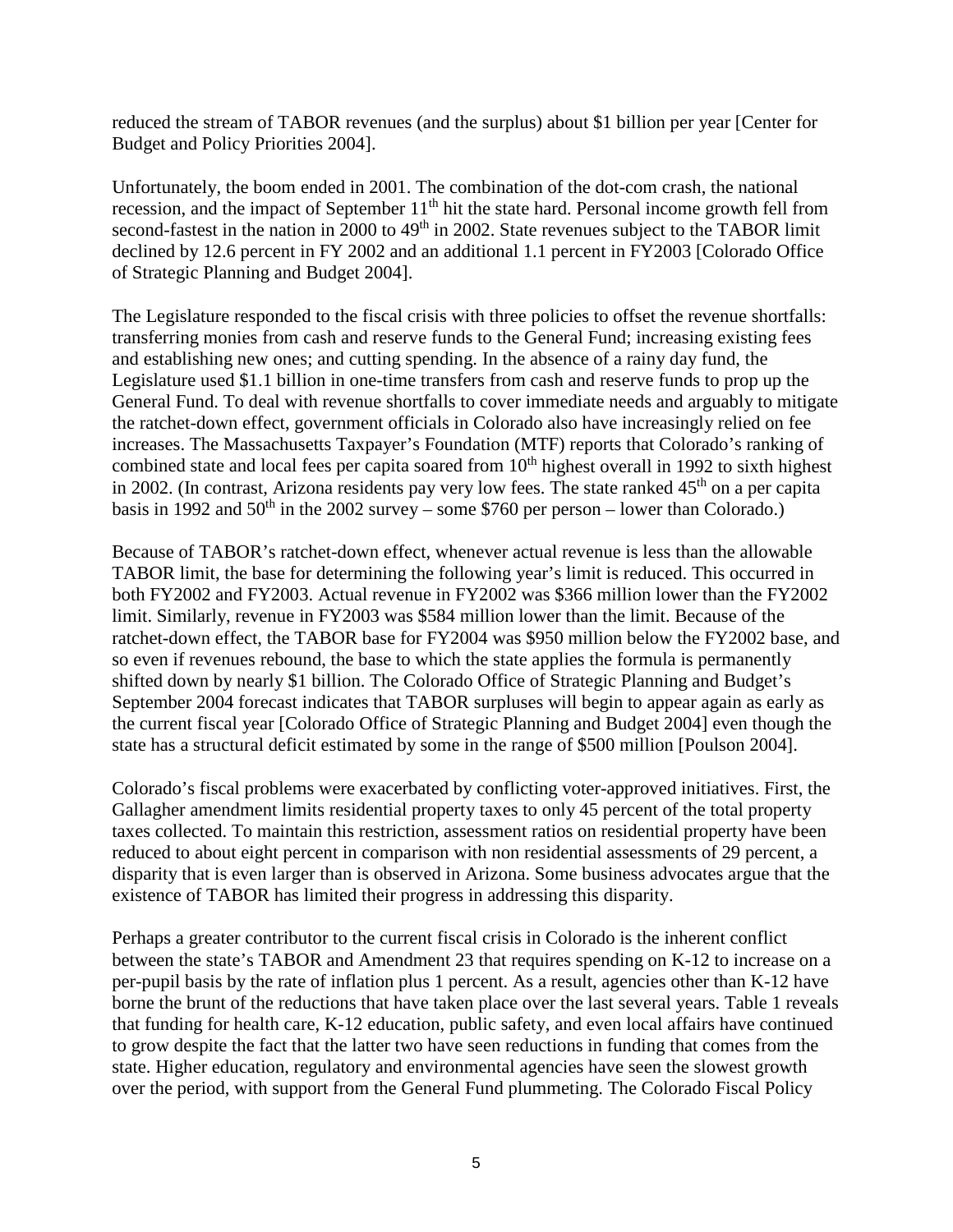reduced the stream of TABOR revenues (and the surplus) about \$1 billion per year [Center for Budget and Policy Priorities 2004].

Unfortunately, the boom ended in 2001. The combination of the dot-com crash, the national recession, and the impact of September  $11<sup>th</sup>$  hit the state hard. Personal income growth fell from second-fastest in the nation in 2000 to 49<sup>th</sup> in 2002. State revenues subject to the TABOR limit declined by 12.6 percent in FY 2002 and an additional 1.1 percent in FY2003 [Colorado Office of Strategic Planning and Budget 2004].

The Legislature responded to the fiscal crisis with three policies to offset the revenue shortfalls: transferring monies from cash and reserve funds to the General Fund; increasing existing fees and establishing new ones; and cutting spending. In the absence of a rainy day fund, the Legislature used \$1.1 billion in one-time transfers from cash and reserve funds to prop up the General Fund. To deal with revenue shortfalls to cover immediate needs and arguably to mitigate the ratchet-down effect, government officials in Colorado also have increasingly relied on fee increases. The Massachusetts Taxpayer's Foundation (MTF) reports that Colorado's ranking of combined state and local fees per capita soared from  $10<sup>th</sup>$  highest overall in 1992 to sixth highest in 2002. (In contrast, Arizona residents pay very low fees. The state ranked  $45<sup>th</sup>$  on a per capita basis in 1992 and  $50<sup>th</sup>$  in the 2002 survey – some \$760 per person – lower than Colorado.)

Because of TABOR's ratchet-down effect, whenever actual revenue is less than the allowable TABOR limit, the base for determining the following year's limit is reduced. This occurred in both FY2002 and FY2003. Actual revenue in FY2002 was \$366 million lower than the FY2002 limit. Similarly, revenue in FY2003 was \$584 million lower than the limit. Because of the ratchet-down effect, the TABOR base for FY2004 was \$950 million below the FY2002 base, and so even if revenues rebound, the base to which the state applies the formula is permanently shifted down by nearly \$1 billion. The Colorado Office of Strategic Planning and Budget's September 2004 forecast indicates that TABOR surpluses will begin to appear again as early as the current fiscal year [Colorado Office of Strategic Planning and Budget 2004] even though the state has a structural deficit estimated by some in the range of \$500 million [Poulson 2004].

Colorado's fiscal problems were exacerbated by conflicting voter-approved initiatives. First, the Gallagher amendment limits residential property taxes to only 45 percent of the total property taxes collected. To maintain this restriction, assessment ratios on residential property have been reduced to about eight percent in comparison with non residential assessments of 29 percent, a disparity that is even larger than is observed in Arizona. Some business advocates argue that the existence of TABOR has limited their progress in addressing this disparity.

Perhaps a greater contributor to the current fiscal crisis in Colorado is the inherent conflict between the state's TABOR and Amendment 23 that requires spending on K-12 to increase on a per-pupil basis by the rate of inflation plus 1 percent. As a result, agencies other than K-12 have borne the brunt of the reductions that have taken place over the last several years. Table 1 reveals that funding for health care, K-12 education, public safety, and even local affairs have continued to grow despite the fact that the latter two have seen reductions in funding that comes from the state. Higher education, regulatory and environmental agencies have seen the slowest growth over the period, with support from the General Fund plummeting. The Colorado Fiscal Policy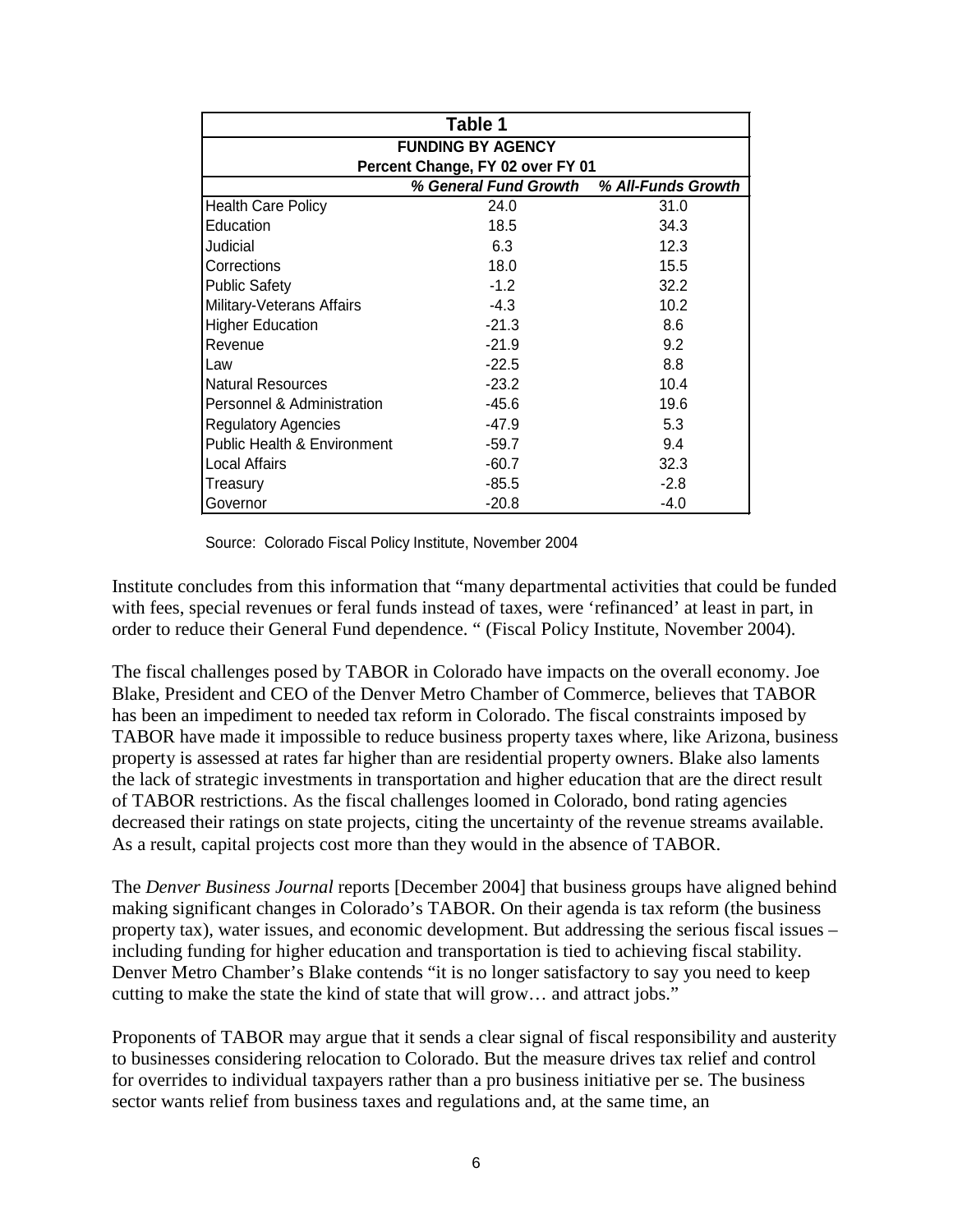| Table 1                                |                                  |                    |  |  |  |
|----------------------------------------|----------------------------------|--------------------|--|--|--|
| <b>FUNDING BY AGENCY</b>               |                                  |                    |  |  |  |
|                                        | Percent Change, FY 02 over FY 01 |                    |  |  |  |
|                                        | % General Fund Growth            | % All-Funds Growth |  |  |  |
| <b>Health Care Policy</b>              | 24.0                             | 31.0               |  |  |  |
| Education                              | 18.5                             | 34.3               |  |  |  |
| Judicial                               | 6.3                              | 12.3               |  |  |  |
| Corrections                            | 18.0                             | 15.5               |  |  |  |
| <b>Public Safety</b>                   | $-1.2$                           | 32.2               |  |  |  |
| Military-Veterans Affairs              | $-4.3$                           | 10.2               |  |  |  |
| <b>Higher Education</b>                | $-21.3$                          | 8.6                |  |  |  |
| Revenue                                | $-21.9$                          | 9.2                |  |  |  |
| Law                                    | $-22.5$                          | 8.8                |  |  |  |
| <b>Natural Resources</b>               | $-23.2$                          | 10.4               |  |  |  |
| Personnel & Administration             | $-45.6$                          | 19.6               |  |  |  |
| <b>Regulatory Agencies</b>             | $-47.9$                          | 5.3                |  |  |  |
| <b>Public Health &amp; Environment</b> | $-59.7$                          | 9.4                |  |  |  |
| Local Affairs                          | $-60.7$                          | 32.3               |  |  |  |
| Treasury                               | $-85.5$                          | $-2.8$             |  |  |  |
| Governor                               | $-20.8$                          | $-4.0$             |  |  |  |

Source: Colorado Fiscal Policy Institute, November 2004

Institute concludes from this information that "many departmental activities that could be funded with fees, special revenues or feral funds instead of taxes, were 'refinanced' at least in part, in order to reduce their General Fund dependence. " (Fiscal Policy Institute, November 2004).

The fiscal challenges posed by TABOR in Colorado have impacts on the overall economy. Joe Blake, President and CEO of the Denver Metro Chamber of Commerce, believes that TABOR has been an impediment to needed tax reform in Colorado. The fiscal constraints imposed by TABOR have made it impossible to reduce business property taxes where, like Arizona, business property is assessed at rates far higher than are residential property owners. Blake also laments the lack of strategic investments in transportation and higher education that are the direct result of TABOR restrictions. As the fiscal challenges loomed in Colorado, bond rating agencies decreased their ratings on state projects, citing the uncertainty of the revenue streams available. As a result, capital projects cost more than they would in the absence of TABOR.

The *Denver Business Journal* reports [December 2004] that business groups have aligned behind making significant changes in Colorado's TABOR. On their agenda is tax reform (the business property tax), water issues, and economic development. But addressing the serious fiscal issues – including funding for higher education and transportation is tied to achieving fiscal stability. Denver Metro Chamber's Blake contends "it is no longer satisfactory to say you need to keep cutting to make the state the kind of state that will grow… and attract jobs."

Proponents of TABOR may argue that it sends a clear signal of fiscal responsibility and austerity to businesses considering relocation to Colorado. But the measure drives tax relief and control for overrides to individual taxpayers rather than a pro business initiative per se. The business sector wants relief from business taxes and regulations and, at the same time, an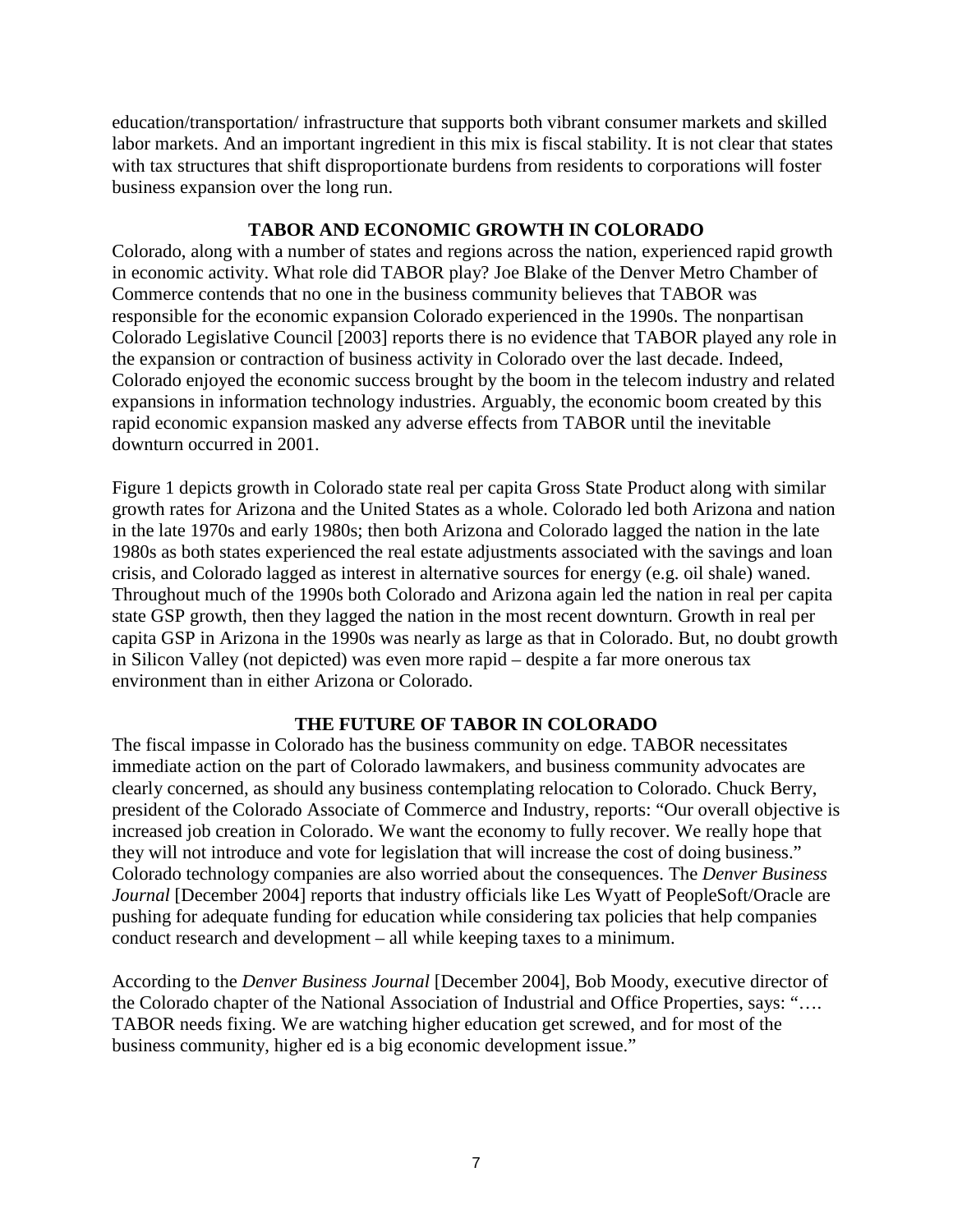education/transportation/ infrastructure that supports both vibrant consumer markets and skilled labor markets. And an important ingredient in this mix is fiscal stability. It is not clear that states with tax structures that shift disproportionate burdens from residents to corporations will foster business expansion over the long run.

### **TABOR AND ECONOMIC GROWTH IN COLORADO**

Colorado, along with a number of states and regions across the nation, experienced rapid growth in economic activity. What role did TABOR play? Joe Blake of the Denver Metro Chamber of Commerce contends that no one in the business community believes that TABOR was responsible for the economic expansion Colorado experienced in the 1990s. The nonpartisan Colorado Legislative Council [2003] reports there is no evidence that TABOR played any role in the expansion or contraction of business activity in Colorado over the last decade. Indeed, Colorado enjoyed the economic success brought by the boom in the telecom industry and related expansions in information technology industries. Arguably, the economic boom created by this rapid economic expansion masked any adverse effects from TABOR until the inevitable downturn occurred in 2001.

Figure 1 depicts growth in Colorado state real per capita Gross State Product along with similar growth rates for Arizona and the United States as a whole. Colorado led both Arizona and nation in the late 1970s and early 1980s; then both Arizona and Colorado lagged the nation in the late 1980s as both states experienced the real estate adjustments associated with the savings and loan crisis, and Colorado lagged as interest in alternative sources for energy (e.g. oil shale) waned. Throughout much of the 1990s both Colorado and Arizona again led the nation in real per capita state GSP growth, then they lagged the nation in the most recent downturn. Growth in real per capita GSP in Arizona in the 1990s was nearly as large as that in Colorado. But, no doubt growth in Silicon Valley (not depicted) was even more rapid – despite a far more onerous tax environment than in either Arizona or Colorado.

# **THE FUTURE OF TABOR IN COLORADO**

The fiscal impasse in Colorado has the business community on edge. TABOR necessitates immediate action on the part of Colorado lawmakers, and business community advocates are clearly concerned, as should any business contemplating relocation to Colorado. Chuck Berry, president of the Colorado Associate of Commerce and Industry, reports: "Our overall objective is increased job creation in Colorado. We want the economy to fully recover. We really hope that they will not introduce and vote for legislation that will increase the cost of doing business." Colorado technology companies are also worried about the consequences. The *Denver Business Journal* [December 2004] reports that industry officials like Les Wyatt of PeopleSoft/Oracle are pushing for adequate funding for education while considering tax policies that help companies conduct research and development – all while keeping taxes to a minimum.

According to the *Denver Business Journal* [December 2004], Bob Moody, executive director of the Colorado chapter of the National Association of Industrial and Office Properties, says: "…. TABOR needs fixing. We are watching higher education get screwed, and for most of the business community, higher ed is a big economic development issue."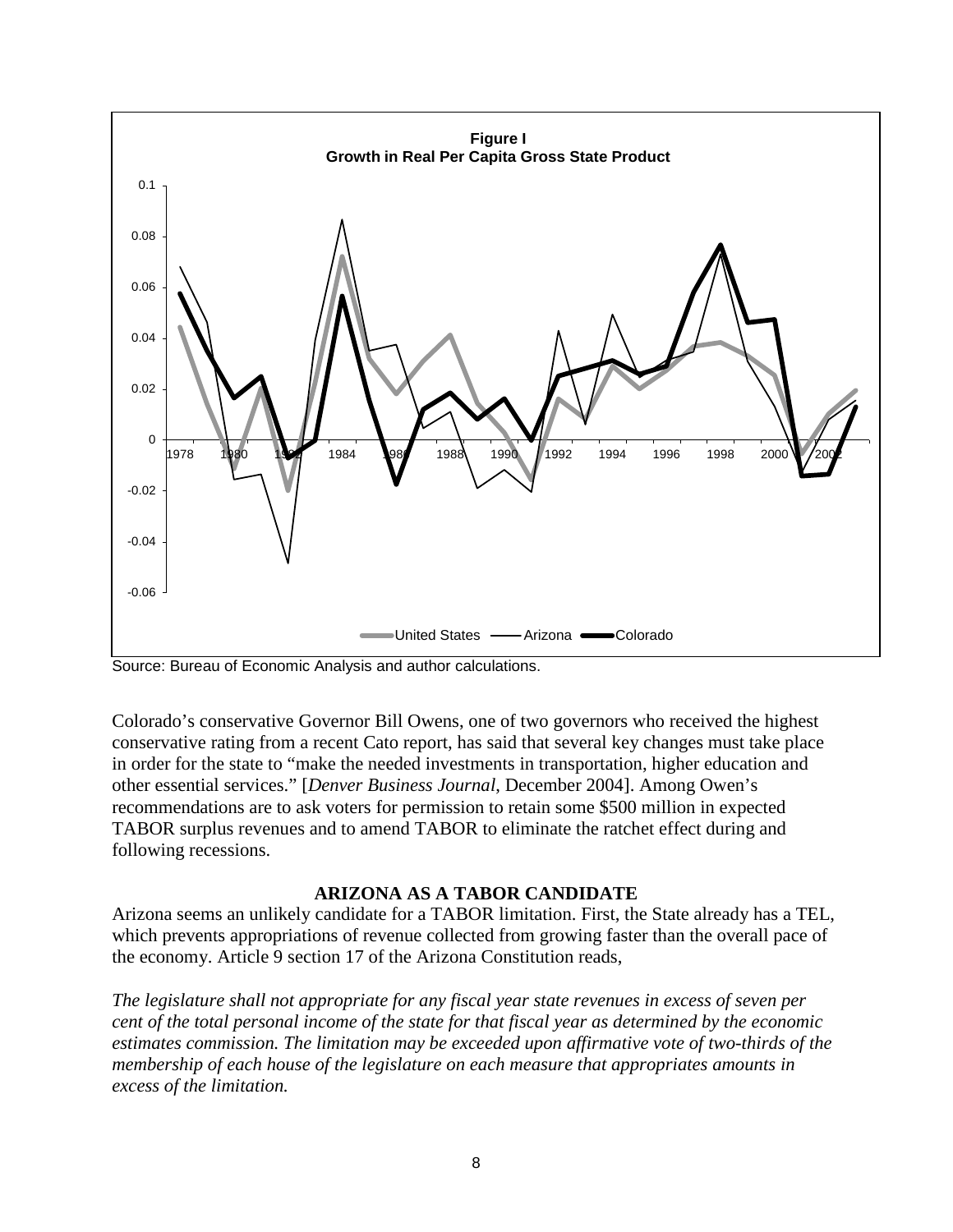

Source: Bureau of Economic Analysis and author calculations.

Colorado's conservative Governor Bill Owens, one of two governors who received the highest conservative rating from a recent Cato report, has said that several key changes must take place in order for the state to "make the needed investments in transportation, higher education and other essential services." [*Denver Business Journal*, December 2004]. Among Owen's recommendations are to ask voters for permission to retain some \$500 million in expected TABOR surplus revenues and to amend TABOR to eliminate the ratchet effect during and following recessions.

#### **ARIZONA AS A TABOR CANDIDATE**

Arizona seems an unlikely candidate for a TABOR limitation. First, the State already has a TEL, which prevents appropriations of revenue collected from growing faster than the overall pace of the economy. Article 9 section 17 of the Arizona Constitution reads,

*The legislature shall not appropriate for any fiscal year state revenues in excess of seven per cent of the total personal income of the state for that fiscal year as determined by the economic estimates commission. The limitation may be exceeded upon affirmative vote of two-thirds of the membership of each house of the legislature on each measure that appropriates amounts in excess of the limitation.*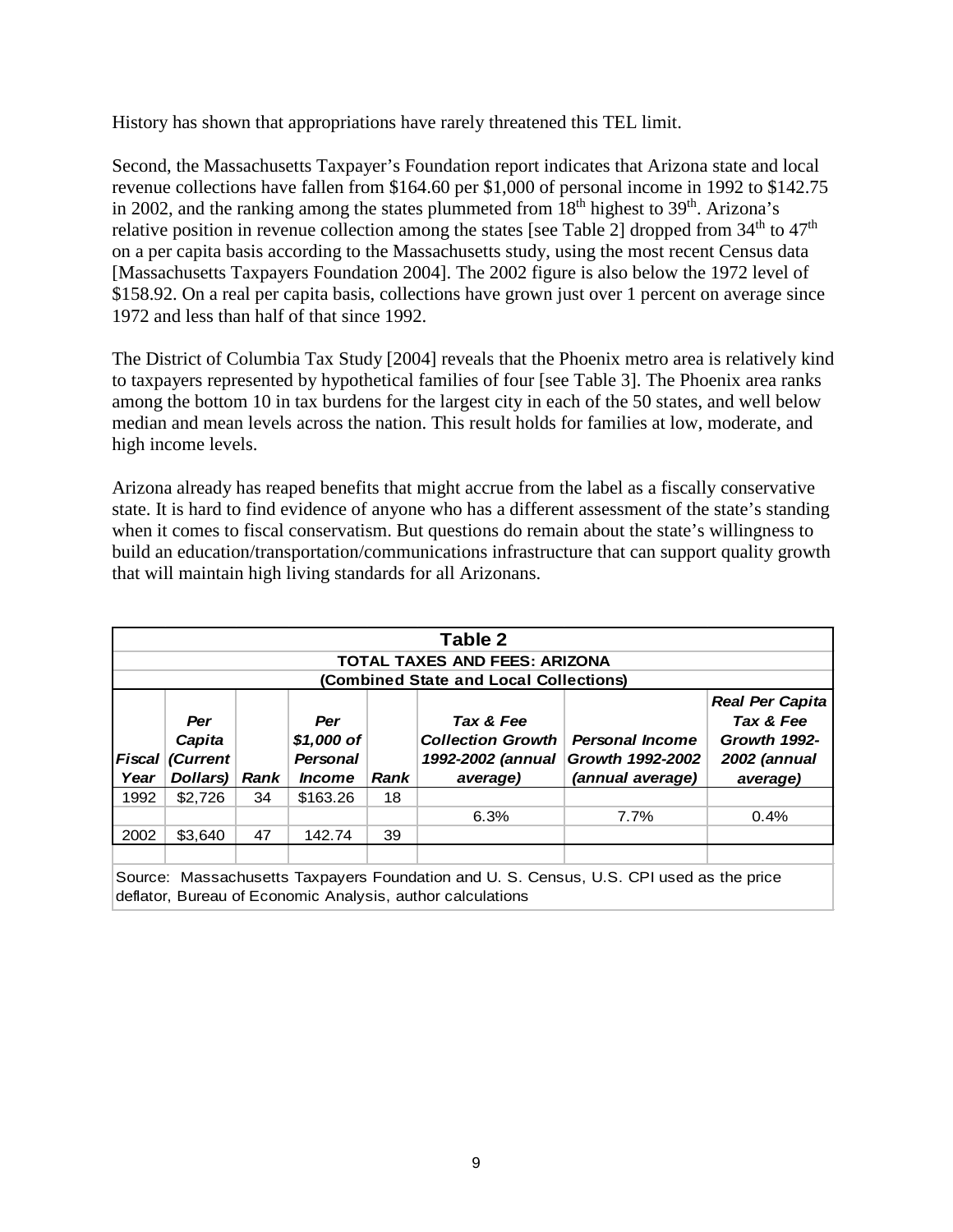History has shown that appropriations have rarely threatened this TEL limit.

Second, the Massachusetts Taxpayer's Foundation report indicates that Arizona state and local revenue collections have fallen from \$164.60 per \$1,000 of personal income in 1992 to \$142.75 in 2002, and the ranking among the states plummeted from  $18<sup>th</sup>$  highest to  $39<sup>th</sup>$ . Arizona's relative position in revenue collection among the states [see Table 2] dropped from  $34<sup>th</sup>$  to  $47<sup>th</sup>$ on a per capita basis according to the Massachusetts study, using the most recent Census data [Massachusetts Taxpayers Foundation 2004]. The 2002 figure is also below the 1972 level of \$158.92. On a real per capita basis, collections have grown just over 1 percent on average since 1972 and less than half of that since 1992.

The District of Columbia Tax Study [2004] reveals that the Phoenix metro area is relatively kind to taxpayers represented by hypothetical families of four [see Table 3]. The Phoenix area ranks among the bottom 10 in tax burdens for the largest city in each of the 50 states, and well below median and mean levels across the nation. This result holds for families at low, moderate, and high income levels.

Arizona already has reaped benefits that might accrue from the label as a fiscally conservative state. It is hard to find evidence of anyone who has a different assessment of the state's standing when it comes to fiscal conservatism. But questions do remain about the state's willingness to build an education/transportation/communications infrastructure that can support quality growth that will maintain high living standards for all Arizonans.

| Table 2<br><b>TOTAL TAXES AND FEES: ARIZONA</b><br>(Combined State and Local Collections)                                                            |                                                                                                                                                                                                                                                                                                                       |    |          |    |      |      |                                    |
|------------------------------------------------------------------------------------------------------------------------------------------------------|-----------------------------------------------------------------------------------------------------------------------------------------------------------------------------------------------------------------------------------------------------------------------------------------------------------------------|----|----------|----|------|------|------------------------------------|
| <b>Fiscal</b><br>Year                                                                                                                                | Tax & Fee<br>Tax & Fee<br>Per<br>Per<br>\$1,000 of<br><b>Collection Growth</b><br>Growth 1992-<br>Capita<br><b>Personal Income</b><br>1992-2002 (annual<br>(Current<br><b>Growth 1992-2002</b><br>2002 (annual<br><b>Personal</b><br>Dollars)<br>(annual average)<br>Rank<br>Rank<br>average)<br><i><b>Income</b></i> |    |          |    |      |      | <b>Real Per Capita</b><br>average) |
| 1992                                                                                                                                                 | \$2,726                                                                                                                                                                                                                                                                                                               | 34 | \$163.26 | 18 |      |      |                                    |
|                                                                                                                                                      |                                                                                                                                                                                                                                                                                                                       |    |          |    | 6.3% | 7.7% | 0.4%                               |
| 2002                                                                                                                                                 | \$3,640                                                                                                                                                                                                                                                                                                               | 47 | 142.74   | 39 |      |      |                                    |
|                                                                                                                                                      |                                                                                                                                                                                                                                                                                                                       |    |          |    |      |      |                                    |
| Source: Massachusetts Taxpayers Foundation and U.S. Census, U.S. CPI used as the price<br>deflator, Bureau of Economic Analysis, author calculations |                                                                                                                                                                                                                                                                                                                       |    |          |    |      |      |                                    |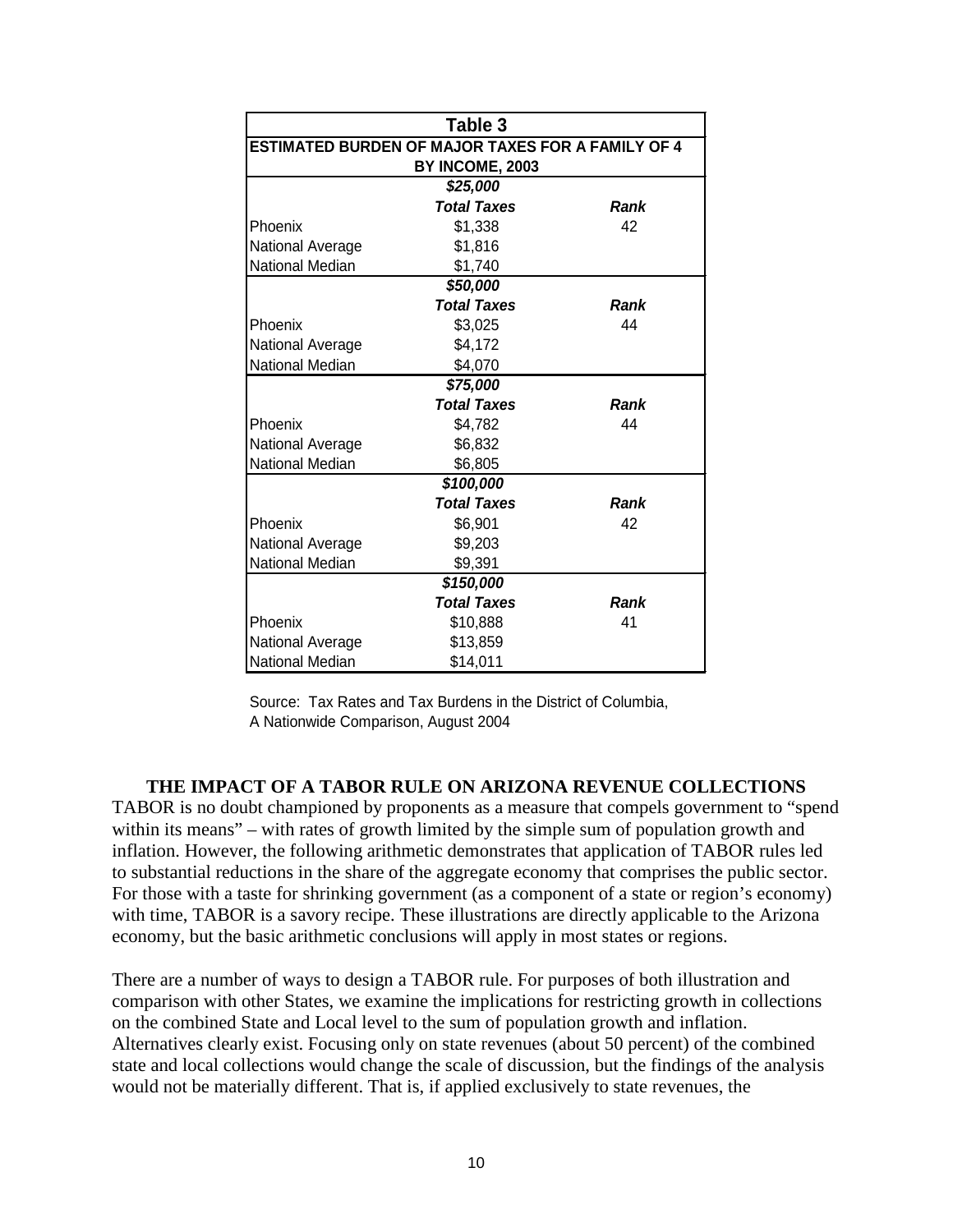| Table 3                |                                                   |      |  |  |
|------------------------|---------------------------------------------------|------|--|--|
|                        | ESTIMATED BURDEN OF MAJOR TAXES FOR A FAMILY OF 4 |      |  |  |
|                        | BY INCOME, 2003                                   |      |  |  |
|                        | \$25,000                                          |      |  |  |
|                        | <b>Total Taxes</b>                                | Rank |  |  |
| Phoenix                | \$1,338                                           | 42   |  |  |
| National Average       | \$1,816                                           |      |  |  |
| <b>National Median</b> | \$1,740                                           |      |  |  |
|                        | \$50,000                                          |      |  |  |
|                        | <b>Total Taxes</b>                                | Rank |  |  |
| Phoenix                | \$3,025                                           | 44   |  |  |
| National Average       | \$4,172                                           |      |  |  |
| <b>National Median</b> | \$4,070                                           |      |  |  |
|                        | \$75,000                                          |      |  |  |
|                        | <b>Total Taxes</b>                                | Rank |  |  |
| Phoenix                | \$4,782                                           | 44   |  |  |
| National Average       | \$6,832                                           |      |  |  |
| <b>National Median</b> | \$6,805                                           |      |  |  |
|                        | \$100,000                                         |      |  |  |
|                        | <b>Total Taxes</b>                                | Rank |  |  |
| Phoenix                | \$6,901                                           | 42   |  |  |
| National Average       | \$9,203                                           |      |  |  |
| National Median        | \$9,391                                           |      |  |  |
|                        | \$150,000                                         |      |  |  |
|                        | <b>Total Taxes</b>                                | Rank |  |  |
| Phoenix                | \$10,888                                          | 41   |  |  |
| National Average       | \$13,859                                          |      |  |  |
| National Median        | \$14,011                                          |      |  |  |

Source: Tax Rates and Tax Burdens in the District of Columbia, A Nationwide Comparison, August 2004

### **THE IMPACT OF A TABOR RULE ON ARIZONA REVENUE COLLECTIONS**

TABOR is no doubt championed by proponents as a measure that compels government to "spend within its means" – with rates of growth limited by the simple sum of population growth and inflation. However, the following arithmetic demonstrates that application of TABOR rules led to substantial reductions in the share of the aggregate economy that comprises the public sector. For those with a taste for shrinking government (as a component of a state or region's economy) with time, TABOR is a savory recipe. These illustrations are directly applicable to the Arizona economy, but the basic arithmetic conclusions will apply in most states or regions.

There are a number of ways to design a TABOR rule. For purposes of both illustration and comparison with other States, we examine the implications for restricting growth in collections on the combined State and Local level to the sum of population growth and inflation. Alternatives clearly exist. Focusing only on state revenues (about 50 percent) of the combined state and local collections would change the scale of discussion, but the findings of the analysis would not be materially different. That is, if applied exclusively to state revenues, the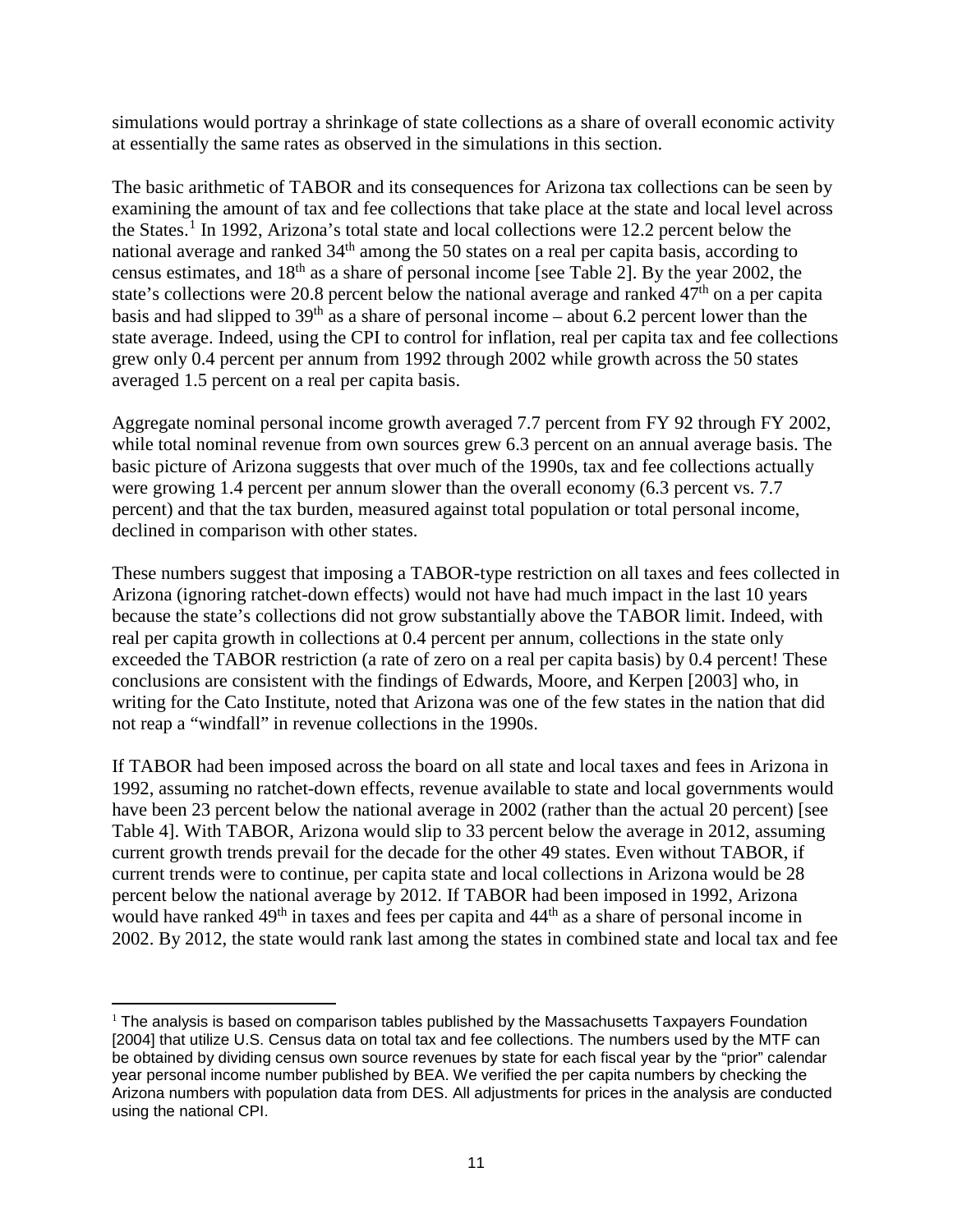simulations would portray a shrinkage of state collections as a share of overall economic activity at essentially the same rates as observed in the simulations in this section.

The basic arithmetic of TABOR and its consequences for Arizona tax collections can be seen by examining the amount of tax and fee collections that take place at the state and local level across the States. [1](#page-12-0) In 1992, Arizona's total state and local collections were 12.2 percent below the national average and ranked 34<sup>th</sup> among the 50 states on a real per capita basis, according to census estimates, and 18th as a share of personal income [see Table 2]. By the year 2002, the state's collections were 20.8 percent below the national average and ranked  $47<sup>th</sup>$  on a per capita basis and had slipped to  $39<sup>th</sup>$  as a share of personal income – about 6.2 percent lower than the state average. Indeed, using the CPI to control for inflation, real per capita tax and fee collections grew only 0.4 percent per annum from 1992 through 2002 while growth across the 50 states averaged 1.5 percent on a real per capita basis.

Aggregate nominal personal income growth averaged 7.7 percent from FY 92 through FY 2002, while total nominal revenue from own sources grew 6.3 percent on an annual average basis. The basic picture of Arizona suggests that over much of the 1990s, tax and fee collections actually were growing 1.4 percent per annum slower than the overall economy (6.3 percent vs. 7.7 percent) and that the tax burden, measured against total population or total personal income, declined in comparison with other states.

These numbers suggest that imposing a TABOR-type restriction on all taxes and fees collected in Arizona (ignoring ratchet-down effects) would not have had much impact in the last 10 years because the state's collections did not grow substantially above the TABOR limit. Indeed, with real per capita growth in collections at 0.4 percent per annum, collections in the state only exceeded the TABOR restriction (a rate of zero on a real per capita basis) by 0.4 percent! These conclusions are consistent with the findings of Edwards, Moore, and Kerpen [2003] who, in writing for the Cato Institute, noted that Arizona was one of the few states in the nation that did not reap a "windfall" in revenue collections in the 1990s.

If TABOR had been imposed across the board on all state and local taxes and fees in Arizona in 1992, assuming no ratchet-down effects, revenue available to state and local governments would have been 23 percent below the national average in 2002 (rather than the actual 20 percent) [see Table 4]. With TABOR, Arizona would slip to 33 percent below the average in 2012, assuming current growth trends prevail for the decade for the other 49 states. Even without TABOR, if current trends were to continue, per capita state and local collections in Arizona would be 28 percent below the national average by 2012. If TABOR had been imposed in 1992, Arizona would have ranked 49<sup>th</sup> in taxes and fees per capita and 44<sup>th</sup> as a share of personal income in 2002. By 2012, the state would rank last among the states in combined state and local tax and fee

<span id="page-12-0"></span> $<sup>1</sup>$  The analysis is based on comparison tables published by the Massachusetts Taxpayers Foundation</sup> [2004] that utilize U.S. Census data on total tax and fee collections. The numbers used by the MTF can be obtained by dividing census own source revenues by state for each fiscal year by the "prior" calendar year personal income number published by BEA. We verified the per capita numbers by checking the Arizona numbers with population data from DES. All adjustments for prices in the analysis are conducted using the national CPI.  $\overline{a}$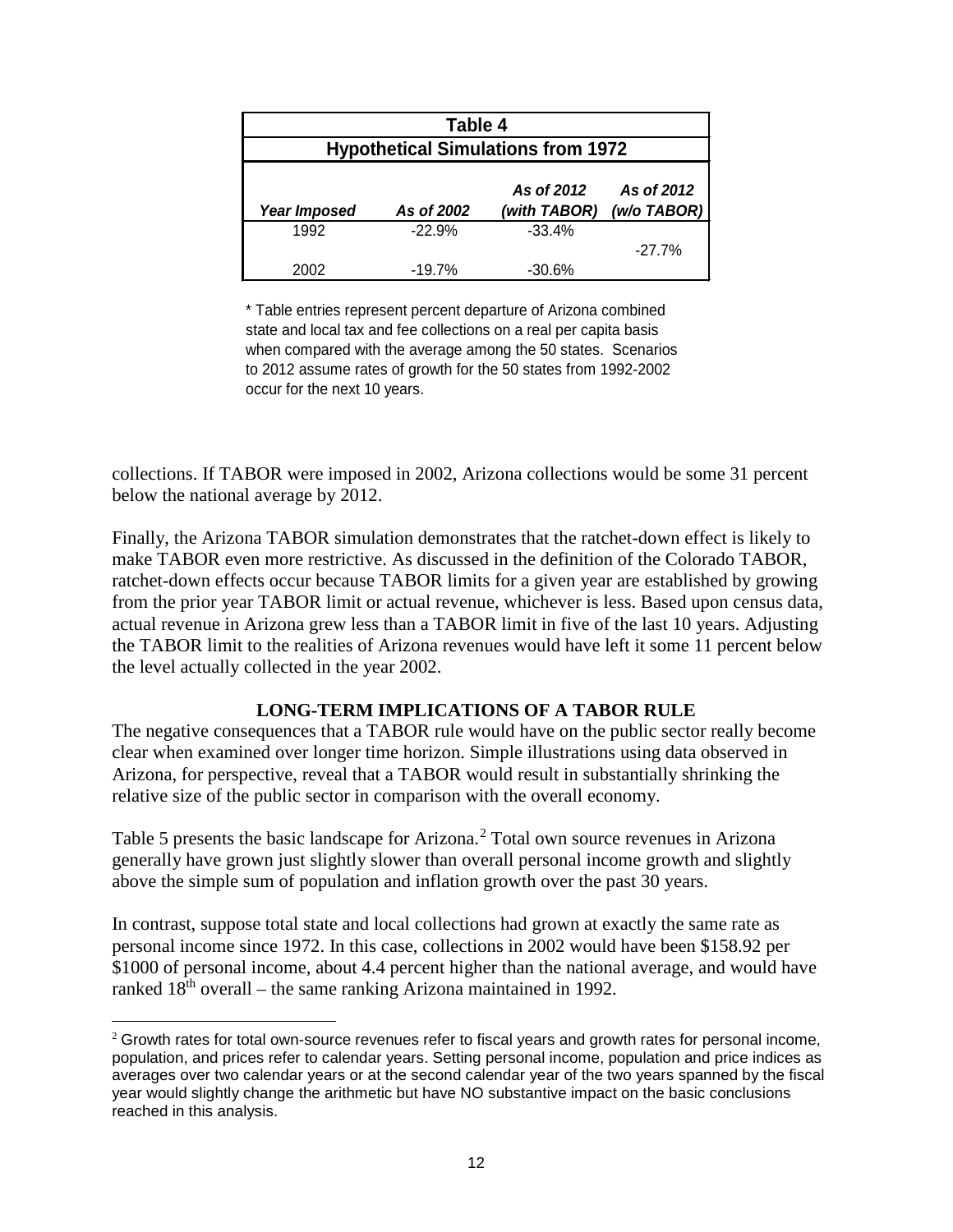| Table 4                                                                                      |                                           |          |           |  |
|----------------------------------------------------------------------------------------------|-------------------------------------------|----------|-----------|--|
|                                                                                              | <b>Hypothetical Simulations from 1972</b> |          |           |  |
| As of 2012<br>As of 2012<br>(w/o TABOR)<br>(with TABOR)<br><b>Year Imposed</b><br>As of 2002 |                                           |          |           |  |
| 1992                                                                                         | $-22.9%$                                  | $-33.4%$ | $-27.7\%$ |  |
| 2002                                                                                         | $-19.7%$                                  | $-30.6%$ |           |  |

\* Table entries represent percent departure of Arizona combined state and local tax and fee collections on a real per capita basis when compared with the average among the 50 states. Scenarios to 2012 assume rates of growth for the 50 states from 1992-2002 occur for the next 10 years.

collections. If TABOR were imposed in 2002, Arizona collections would be some 31 percent below the national average by 2012.

Finally, the Arizona TABOR simulation demonstrates that the ratchet-down effect is likely to make TABOR even more restrictive. As discussed in the definition of the Colorado TABOR, ratchet-down effects occur because TABOR limits for a given year are established by growing from the prior year TABOR limit or actual revenue, whichever is less. Based upon census data, actual revenue in Arizona grew less than a TABOR limit in five of the last 10 years. Adjusting the TABOR limit to the realities of Arizona revenues would have left it some 11 percent below the level actually collected in the year 2002.

# **LONG-TERM IMPLICATIONS OF A TABOR RULE**

The negative consequences that a TABOR rule would have on the public sector really become clear when examined over longer time horizon. Simple illustrations using data observed in Arizona, for perspective, reveal that a TABOR would result in substantially shrinking the relative size of the public sector in comparison with the overall economy.

Table 5 presents the basic landscape for Arizona. [2](#page-13-0) Total own source revenues in Arizona generally have grown just slightly slower than overall personal income growth and slightly above the simple sum of population and inflation growth over the past 30 years.

In contrast, suppose total state and local collections had grown at exactly the same rate as personal income since 1972. In this case, collections in 2002 would have been \$158.92 per \$1000 of personal income, about 4.4 percent higher than the national average, and would have ranked  $18<sup>th</sup>$  overall – the same ranking Arizona maintained in 1992.

 $\overline{a}$ 

<span id="page-13-0"></span><sup>&</sup>lt;sup>2</sup> Growth rates for total own-source revenues refer to fiscal years and growth rates for personal income, population, and prices refer to calendar years. Setting personal income, population and price indices as averages over two calendar years or at the second calendar year of the two years spanned by the fiscal year would slightly change the arithmetic but have NO substantive impact on the basic conclusions reached in this analysis.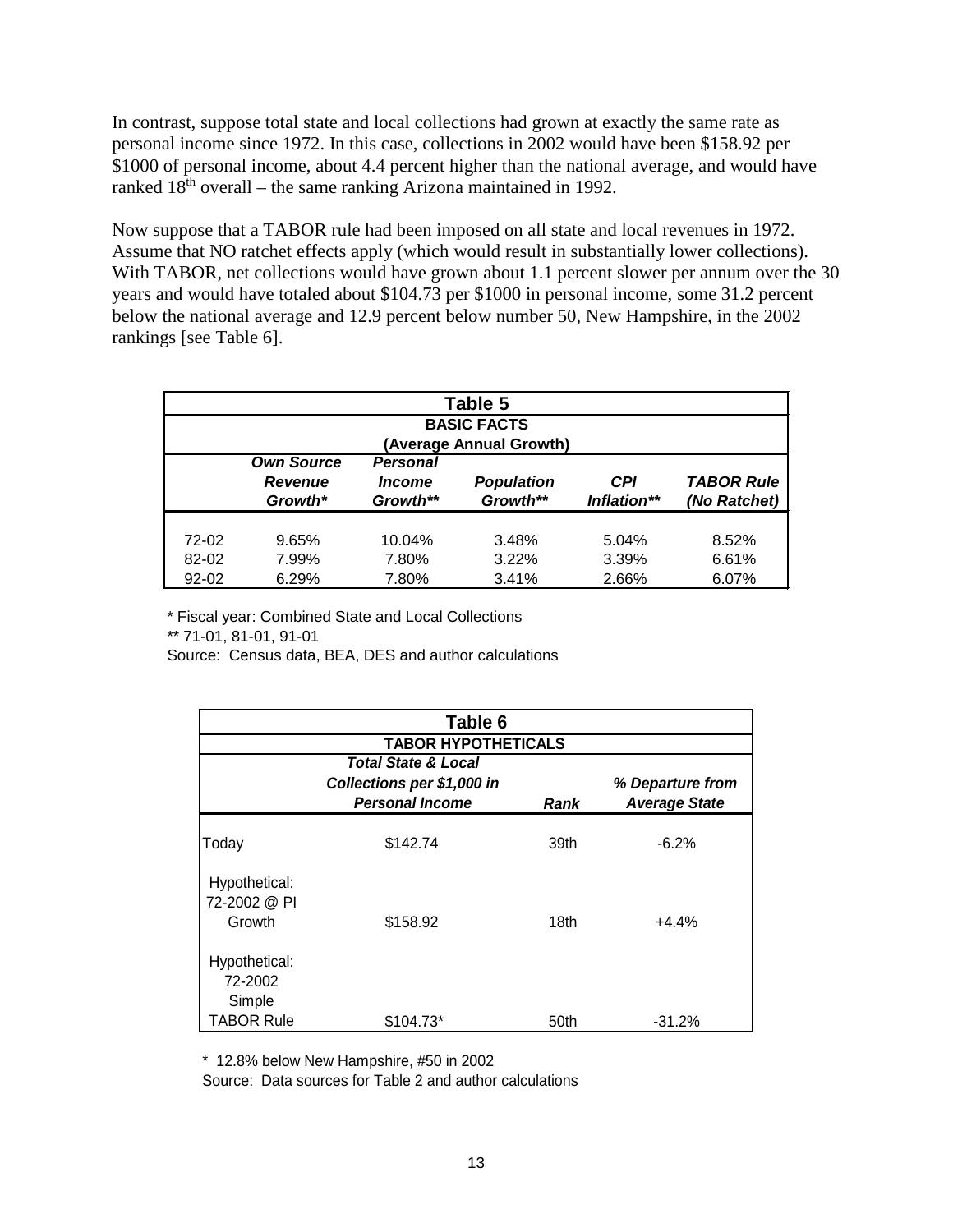In contrast, suppose total state and local collections had grown at exactly the same rate as personal income since 1972. In this case, collections in 2002 would have been \$158.92 per \$1000 of personal income, about 4.4 percent higher than the national average, and would have ranked  $18<sup>th</sup>$  overall – the same ranking Arizona maintained in 1992.

Now suppose that a TABOR rule had been imposed on all state and local revenues in 1972. Assume that NO ratchet effects apply (which would result in substantially lower collections). With TABOR, net collections would have grown about 1.1 percent slower per annum over the 30 years and would have totaled about \$104.73 per \$1000 in personal income, some 31.2 percent below the national average and 12.9 percent below number 50, New Hampshire, in the 2002 rankings [see Table 6].

| Table 5            |                           |                                  |                               |                    |                                   |
|--------------------|---------------------------|----------------------------------|-------------------------------|--------------------|-----------------------------------|
| <b>BASIC FACTS</b> |                           |                                  |                               |                    |                                   |
|                    | <b>Own Source</b>         | Personal                         | (Average Annual Growth)       |                    |                                   |
|                    | <b>Revenue</b><br>Growth* | <i><b>Income</b></i><br>Growth** | <b>Population</b><br>Growth** | CPI<br>Inflation** | <b>TABOR Rule</b><br>(No Ratchet) |
| 72-02              | 9.65%                     | 10.04%                           | 3.48%                         | 5.04%              | 8.52%                             |
| 82-02              | 7.99%                     | 7.80%                            | 3.22%                         | 3.39%              | 6.61%                             |
| $92 - 02$          | 6.29%                     | 7.80%                            | 3.41%                         | 2.66%              | 6.07%                             |

\* Fiscal year: Combined State and Local Collections \*\* 71-01, 81-01, 91-01

Source: Census data, BEA, DES and author calculations

| Table 6                                 |                                |      |                      |  |  |  |
|-----------------------------------------|--------------------------------|------|----------------------|--|--|--|
|                                         | <b>TABOR HYPOTHETICALS</b>     |      |                      |  |  |  |
|                                         | <b>Total State &amp; Local</b> |      |                      |  |  |  |
|                                         | Collections per \$1,000 in     |      | % Departure from     |  |  |  |
|                                         | <b>Personal Income</b>         | Rank | <b>Average State</b> |  |  |  |
| Today                                   | \$142.74                       | 39th | $-6.2%$              |  |  |  |
| Hypothetical:<br>72-2002 @ PI<br>Growth | \$158.92                       | 18th | $+4.4%$              |  |  |  |
| Hypothetical:<br>72-2002<br>Simple      |                                |      |                      |  |  |  |
| <b>TABOR Rule</b>                       | $$104.73*$                     | 50th | $-31.2%$             |  |  |  |

\* 12.8% below New Hampshire, #50 in 2002

Source: Data sources for Table 2 and author calculations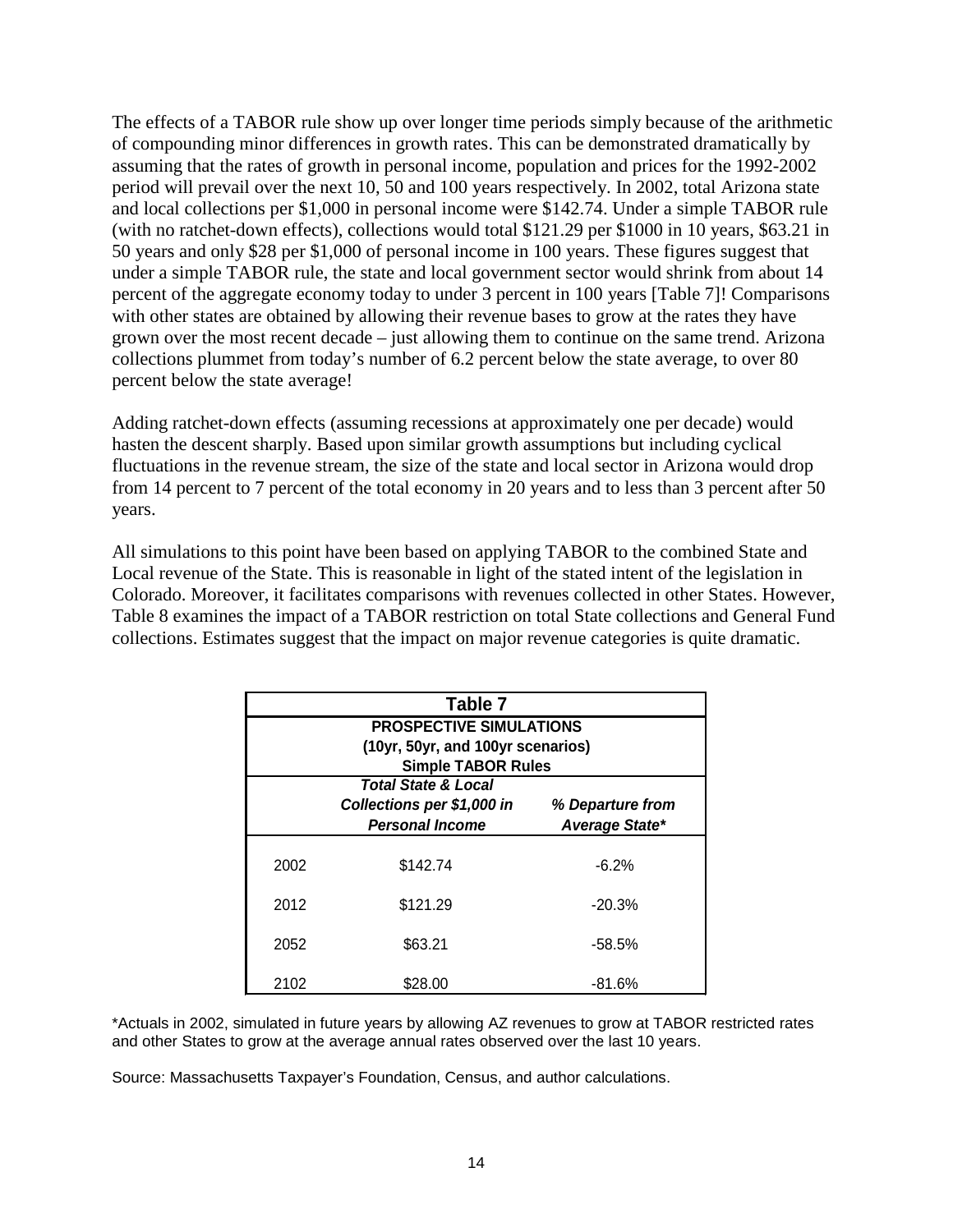The effects of a TABOR rule show up over longer time periods simply because of the arithmetic of compounding minor differences in growth rates. This can be demonstrated dramatically by assuming that the rates of growth in personal income, population and prices for the 1992-2002 period will prevail over the next 10, 50 and 100 years respectively. In 2002, total Arizona state and local collections per \$1,000 in personal income were \$142.74. Under a simple TABOR rule (with no ratchet-down effects), collections would total \$121.29 per \$1000 in 10 years, \$63.21 in 50 years and only \$28 per \$1,000 of personal income in 100 years. These figures suggest that under a simple TABOR rule, the state and local government sector would shrink from about 14 percent of the aggregate economy today to under 3 percent in 100 years [Table 7]! Comparisons with other states are obtained by allowing their revenue bases to grow at the rates they have grown over the most recent decade – just allowing them to continue on the same trend. Arizona collections plummet from today's number of 6.2 percent below the state average, to over 80 percent below the state average!

Adding ratchet-down effects (assuming recessions at approximately one per decade) would hasten the descent sharply. Based upon similar growth assumptions but including cyclical fluctuations in the revenue stream, the size of the state and local sector in Arizona would drop from 14 percent to 7 percent of the total economy in 20 years and to less than 3 percent after 50 years.

All simulations to this point have been based on applying TABOR to the combined State and Local revenue of the State. This is reasonable in light of the stated intent of the legislation in Colorado. Moreover, it facilitates comparisons with revenues collected in other States. However, Table 8 examines the impact of a TABOR restriction on total State collections and General Fund collections. Estimates suggest that the impact on major revenue categories is quite dramatic.

|      | Table 7                           |                  |  |  |  |
|------|-----------------------------------|------------------|--|--|--|
|      | <b>PROSPECTIVE SIMULATIONS</b>    |                  |  |  |  |
|      | (10yr, 50yr, and 100yr scenarios) |                  |  |  |  |
|      | <b>Simple TABOR Rules</b>         |                  |  |  |  |
|      | <b>Total State &amp; Local</b>    |                  |  |  |  |
|      | Collections per \$1,000 in        | % Departure from |  |  |  |
|      | <b>Personal Income</b>            | Average State*   |  |  |  |
|      |                                   |                  |  |  |  |
| 2002 | \$142.74                          | $-6.2%$          |  |  |  |
|      |                                   |                  |  |  |  |
| 2012 | \$121.29                          | $-20.3%$         |  |  |  |
|      |                                   |                  |  |  |  |
| 2052 | \$63.21                           | $-58.5%$         |  |  |  |
|      |                                   |                  |  |  |  |
| 2102 | \$28.00                           | $-81.6%$         |  |  |  |

\*Actuals in 2002, simulated in future years by allowing AZ revenues to grow at TABOR restricted rates and other States to grow at the average annual rates observed over the last 10 years.

Source: Massachusetts Taxpayer's Foundation, Census, and author calculations.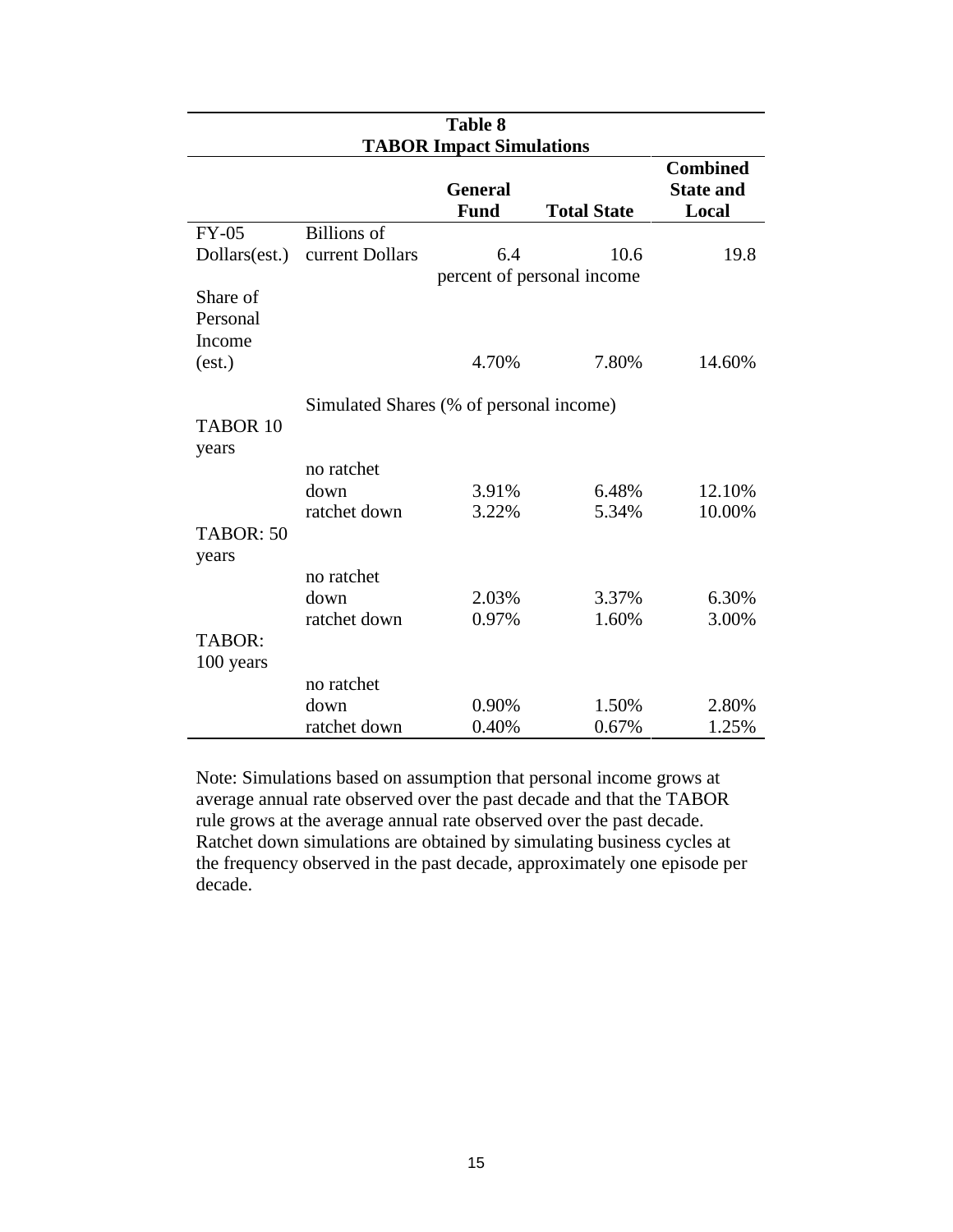| <b>Table 8</b>                  |                                         |                               |                            |                                              |  |  |  |
|---------------------------------|-----------------------------------------|-------------------------------|----------------------------|----------------------------------------------|--|--|--|
| <b>TABOR Impact Simulations</b> |                                         |                               |                            |                                              |  |  |  |
|                                 |                                         | <b>General</b><br><b>Fund</b> | <b>Total State</b>         | <b>Combined</b><br><b>State and</b><br>Local |  |  |  |
| $FY-05$                         | <b>Billions</b> of                      |                               |                            |                                              |  |  |  |
| Dollars(est.)                   | current Dollars                         | 6.4                           | 10.6                       | 19.8                                         |  |  |  |
| Share of<br>Personal            |                                         |                               | percent of personal income |                                              |  |  |  |
| Income<br>(est.)                |                                         | 4.70%                         | 7.80%                      | 14.60%                                       |  |  |  |
| TABOR <sub>10</sub><br>years    | Simulated Shares (% of personal income) |                               |                            |                                              |  |  |  |
|                                 | no ratchet                              |                               |                            |                                              |  |  |  |
|                                 | down                                    | 3.91%                         | 6.48%                      | 12.10%                                       |  |  |  |
|                                 | ratchet down                            | 3.22%                         | 5.34%                      | 10.00%                                       |  |  |  |
| TABOR: 50<br>years              |                                         |                               |                            |                                              |  |  |  |
|                                 | no ratchet                              |                               |                            |                                              |  |  |  |
|                                 | down                                    | 2.03%                         | 3.37%                      | 6.30%                                        |  |  |  |
|                                 | ratchet down                            | 0.97%                         | 1.60%                      | 3.00%                                        |  |  |  |
| TABOR:<br>100 years             |                                         |                               |                            |                                              |  |  |  |
|                                 | no ratchet                              |                               |                            |                                              |  |  |  |
|                                 | down                                    | 0.90%                         | 1.50%                      | 2.80%                                        |  |  |  |
|                                 | ratchet down                            | 0.40%                         | 0.67%                      | 1.25%                                        |  |  |  |

Note: Simulations based on assumption that personal income grows at average annual rate observed over the past decade and that the TABOR rule grows at the average annual rate observed over the past decade. Ratchet down simulations are obtained by simulating business cycles at the frequency observed in the past decade, approximately one episode per decade.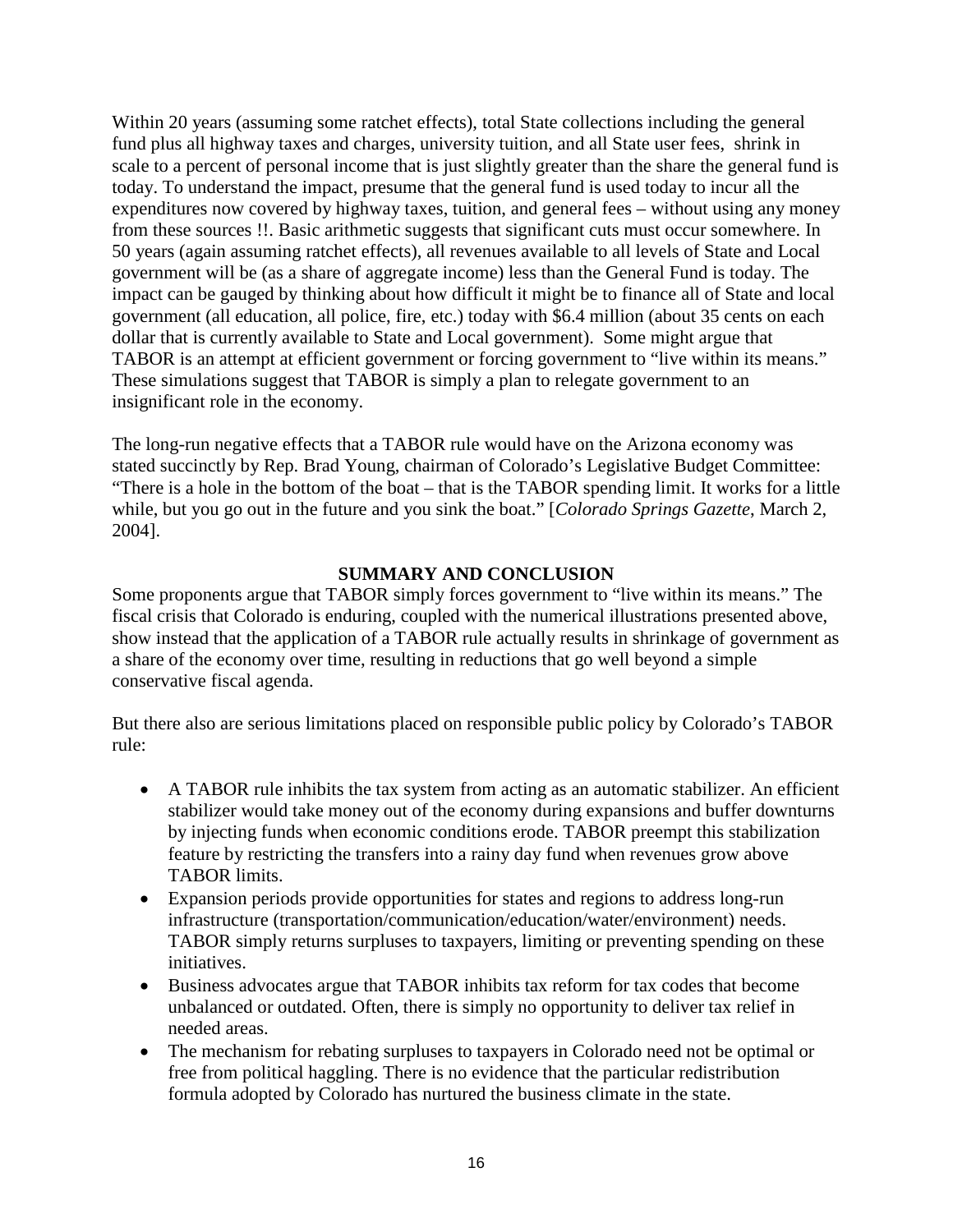Within 20 years (assuming some ratchet effects), total State collections including the general fund plus all highway taxes and charges, university tuition, and all State user fees, shrink in scale to a percent of personal income that is just slightly greater than the share the general fund is today. To understand the impact, presume that the general fund is used today to incur all the expenditures now covered by highway taxes, tuition, and general fees – without using any money from these sources !!. Basic arithmetic suggests that significant cuts must occur somewhere. In 50 years (again assuming ratchet effects), all revenues available to all levels of State and Local government will be (as a share of aggregate income) less than the General Fund is today. The impact can be gauged by thinking about how difficult it might be to finance all of State and local government (all education, all police, fire, etc.) today with \$6.4 million (about 35 cents on each dollar that is currently available to State and Local government). Some might argue that TABOR is an attempt at efficient government or forcing government to "live within its means." These simulations suggest that TABOR is simply a plan to relegate government to an insignificant role in the economy.

The long-run negative effects that a TABOR rule would have on the Arizona economy was stated succinctly by Rep. Brad Young, chairman of Colorado's Legislative Budget Committee: "There is a hole in the bottom of the boat – that is the TABOR spending limit. It works for a little while, but you go out in the future and you sink the boat." [*Colorado Springs Gazette*, March 2, 2004].

# **SUMMARY AND CONCLUSION**

Some proponents argue that TABOR simply forces government to "live within its means." The fiscal crisis that Colorado is enduring, coupled with the numerical illustrations presented above, show instead that the application of a TABOR rule actually results in shrinkage of government as a share of the economy over time, resulting in reductions that go well beyond a simple conservative fiscal agenda.

But there also are serious limitations placed on responsible public policy by Colorado's TABOR rule:

- A TABOR rule inhibits the tax system from acting as an automatic stabilizer. An efficient stabilizer would take money out of the economy during expansions and buffer downturns by injecting funds when economic conditions erode. TABOR preempt this stabilization feature by restricting the transfers into a rainy day fund when revenues grow above TABOR limits.
- Expansion periods provide opportunities for states and regions to address long-run infrastructure (transportation/communication/education/water/environment) needs. TABOR simply returns surpluses to taxpayers, limiting or preventing spending on these initiatives.
- Business advocates argue that TABOR inhibits tax reform for tax codes that become unbalanced or outdated. Often, there is simply no opportunity to deliver tax relief in needed areas.
- The mechanism for rebating surpluses to taxpayers in Colorado need not be optimal or free from political haggling. There is no evidence that the particular redistribution formula adopted by Colorado has nurtured the business climate in the state.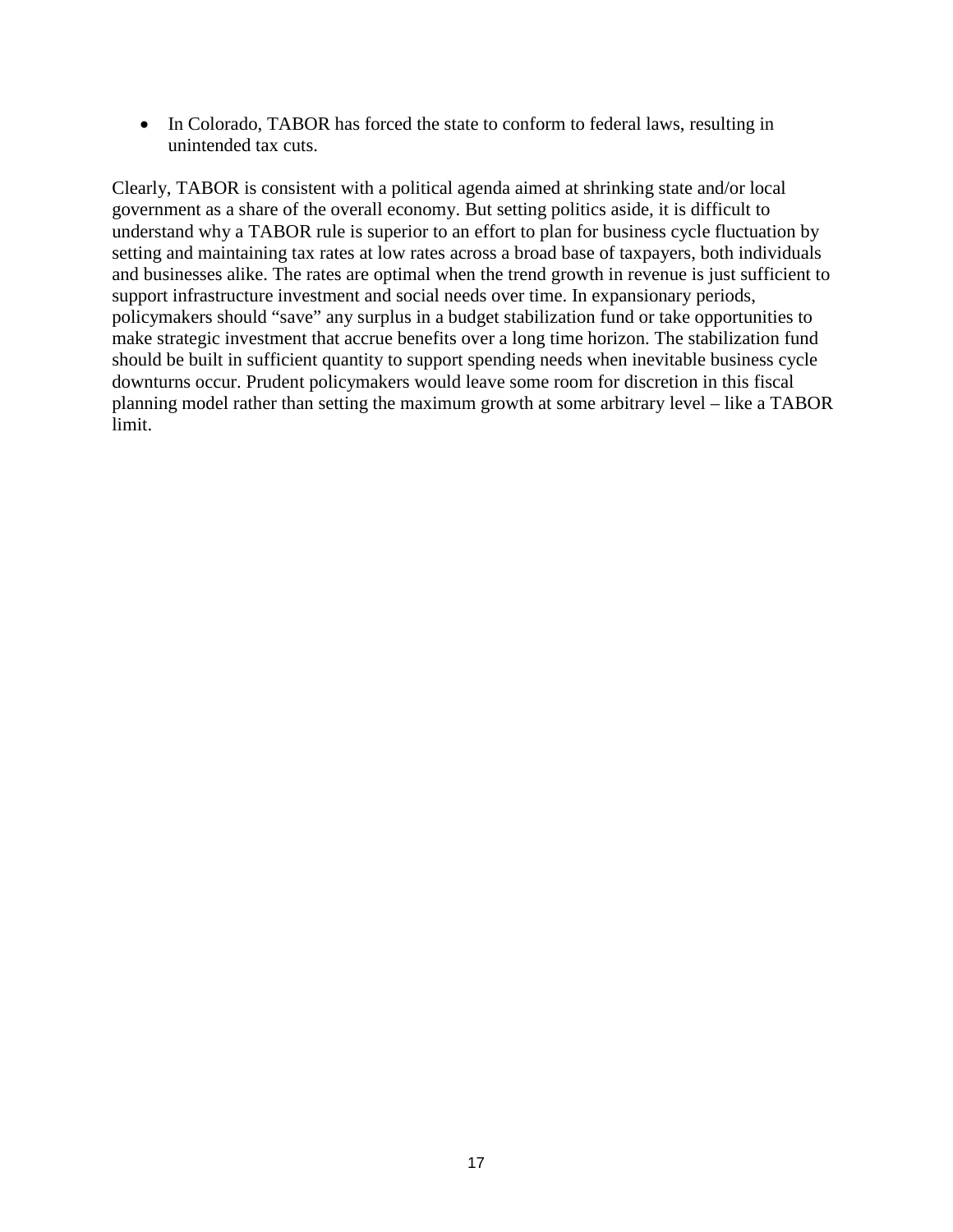• In Colorado, TABOR has forced the state to conform to federal laws, resulting in unintended tax cuts.

Clearly, TABOR is consistent with a political agenda aimed at shrinking state and/or local government as a share of the overall economy. But setting politics aside, it is difficult to understand why a TABOR rule is superior to an effort to plan for business cycle fluctuation by setting and maintaining tax rates at low rates across a broad base of taxpayers, both individuals and businesses alike. The rates are optimal when the trend growth in revenue is just sufficient to support infrastructure investment and social needs over time. In expansionary periods, policymakers should "save" any surplus in a budget stabilization fund or take opportunities to make strategic investment that accrue benefits over a long time horizon. The stabilization fund should be built in sufficient quantity to support spending needs when inevitable business cycle downturns occur. Prudent policymakers would leave some room for discretion in this fiscal planning model rather than setting the maximum growth at some arbitrary level – like a TABOR limit.